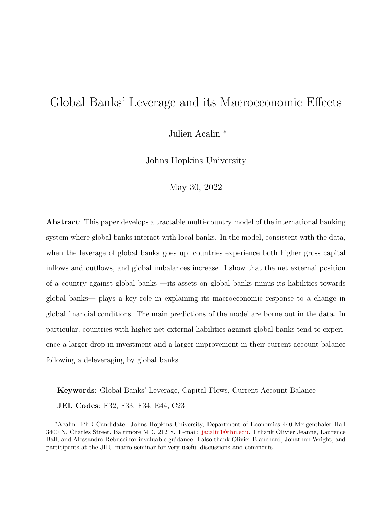# Global Banks' Leverage and its Macroeconomic Effects

Julien Acalin <sup>∗</sup>

Johns Hopkins University

May 30, 2022

Abstract: This paper develops a tractable multi-country model of the international banking system where global banks interact with local banks. In the model, consistent with the data, when the leverage of global banks goes up, countries experience both higher gross capital inflows and outflows, and global imbalances increase. I show that the net external position of a country against global banks —its assets on global banks minus its liabilities towards global banks— plays a key role in explaining its macroeconomic response to a change in global financial conditions. The main predictions of the model are borne out in the data. In particular, countries with higher net external liabilities against global banks tend to experience a larger drop in investment and a larger improvement in their current account balance following a deleveraging by global banks.

Keywords: Global Banks' Leverage, Capital Flows, Current Account Balance JEL Codes: F32, F33, F34, E44, C23

<sup>∗</sup>Acalin: PhD Candidate. Johns Hopkins University, Department of Economics 440 Mergenthaler Hall 3400 N. Charles Street, Baltimore MD, 21218. E-mail: [jacalin1@jhu.edu.](jacalin1@jhu.edu) I thank Olivier Jeanne, Laurence Ball, and Alessandro Rebucci for invaluable guidance. I also thank Olivier Blanchard, Jonathan Wright, and participants at the JHU macro-seminar for very useful discussions and comments.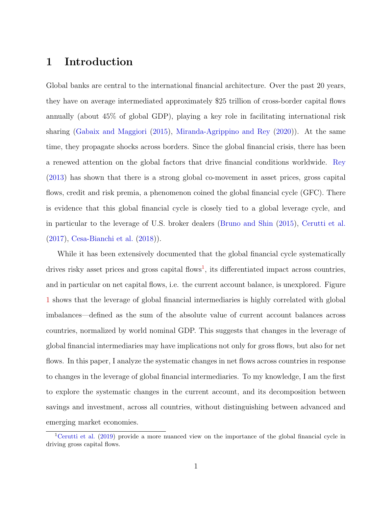# 1 Introduction

Global banks are central to the international financial architecture. Over the past 20 years, they have on average intermediated approximately \$25 trillion of cross-border capital flows annually (about 45% of global GDP), playing a key role in facilitating international risk sharing [\(Gabaix and Maggiori](#page-73-0) [\(2015\)](#page-73-0), [Miranda-Agrippino and Rey](#page-74-0) [\(2020\)](#page-74-0)). At the same time, they propagate shocks across borders. Since the global financial crisis, there has been a renewed attention on the global factors that drive financial conditions worldwide. [Rey](#page-74-1) [\(2013\)](#page-74-1) has shown that there is a strong global co-movement in asset prices, gross capital flows, credit and risk premia, a phenomenon coined the global financial cycle (GFC). There is evidence that this global financial cycle is closely tied to a global leverage cycle, and in particular to the leverage of U.S. broker dealers [\(Bruno and Shin](#page-72-0) [\(2015\)](#page-72-0), [Cerutti et al.](#page-72-1) [\(2017\)](#page-72-1), [Cesa-Bianchi et al.](#page-72-2) [\(2018\)](#page-72-2)).

While it has been extensively documented that the global financial cycle systematically drives risky asset prices and gross capital flows<sup>[1](#page-1-0)</sup>, its differentiated impact across countries, and in particular on net capital flows, i.e. the current account balance, is unexplored. Figure [1](#page-2-0) shows that the leverage of global financial intermediaries is highly correlated with global imbalances—defined as the sum of the absolute value of current account balances across countries, normalized by world nominal GDP. This suggests that changes in the leverage of global financial intermediaries may have implications not only for gross flows, but also for net flows. In this paper, I analyze the systematic changes in net flows across countries in response to changes in the leverage of global financial intermediaries. To my knowledge, I am the first to explore the systematic changes in the current account, and its decomposition between savings and investment, across all countries, without distinguishing between advanced and emerging market economies.

<span id="page-1-0"></span><sup>&</sup>lt;sup>1</sup>[Cerutti et al.](#page-72-3) [\(2019\)](#page-72-3) provide a more nuanced view on the importance of the global financial cycle in driving gross capital flows.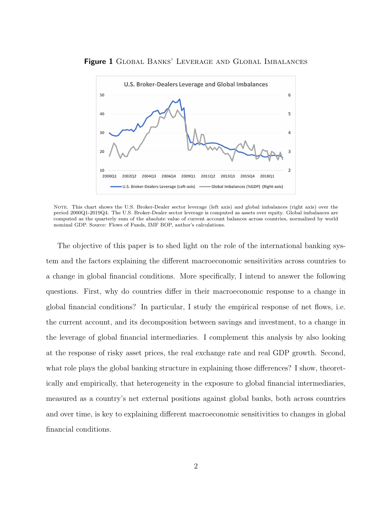

<span id="page-2-0"></span>Figure 1 GLOBAL BANKS' LEVERAGE AND GLOBAL IMBALANCES

Note. This chart shows the U.S. Broker-Dealer sector leverage (left axis) and global imbalances (right axis) over the period 2000Q1-2019Q4. The U.S. Broker-Dealer sector leverage is computed as assets over equity. Global imbalances are computed as the quarterly sum of the absolute value of current account balances across countries, normalized by world nominal GDP. Source: Flows of Funds, IMF BOP, author's calculations.

The objective of this paper is to shed light on the role of the international banking system and the factors explaining the different macroeconomic sensitivities across countries to a change in global financial conditions. More specifically, I intend to answer the following questions. First, why do countries differ in their macroeconomic response to a change in global financial conditions? In particular, I study the empirical response of net flows, i.e. the current account, and its decomposition between savings and investment, to a change in the leverage of global financial intermediaries. I complement this analysis by also looking at the response of risky asset prices, the real exchange rate and real GDP growth. Second, what role plays the global banking structure in explaining those differences? I show, theoretically and empirically, that heterogeneity in the exposure to global financial intermediaries, measured as a country's net external positions against global banks, both across countries and over time, is key to explaining different macroeconomic sensitivities to changes in global financial conditions.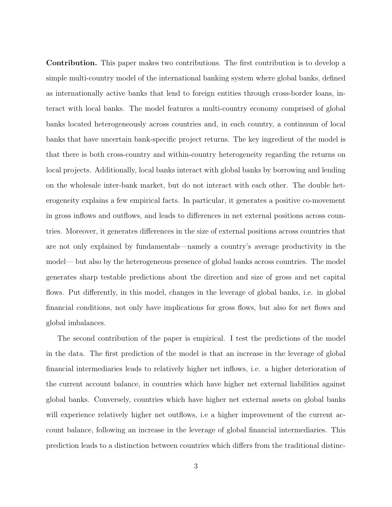Contribution. This paper makes two contributions. The first contribution is to develop a simple multi-country model of the international banking system where global banks, defined as internationally active banks that lend to foreign entities through cross-border loans, interact with local banks. The model features a multi-country economy comprised of global banks located heterogeneously across countries and, in each country, a continuum of local banks that have uncertain bank-specific project returns. The key ingredient of the model is that there is both cross-country and within-country heterogeneity regarding the returns on local projects. Additionally, local banks interact with global banks by borrowing and lending on the wholesale inter-bank market, but do not interact with each other. The double heterogeneity explains a few empirical facts. In particular, it generates a positive co-movement in gross inflows and outflows, and leads to differences in net external positions across countries. Moreover, it generates differences in the size of external positions across countries that are not only explained by fundamentals—namely a country's average productivity in the model— but also by the heterogeneous presence of global banks across countries. The model generates sharp testable predictions about the direction and size of gross and net capital flows. Put differently, in this model, changes in the leverage of global banks, i.e. in global financial conditions, not only have implications for gross flows, but also for net flows and global imbalances.

The second contribution of the paper is empirical. I test the predictions of the model in the data. The first prediction of the model is that an increase in the leverage of global financial intermediaries leads to relatively higher net inflows, i.e. a higher deterioration of the current account balance, in countries which have higher net external liabilities against global banks. Conversely, countries which have higher net external assets on global banks will experience relatively higher net outflows, i.e a higher improvement of the current account balance, following an increase in the leverage of global financial intermediaries. This prediction leads to a distinction between countries which differs from the traditional distinc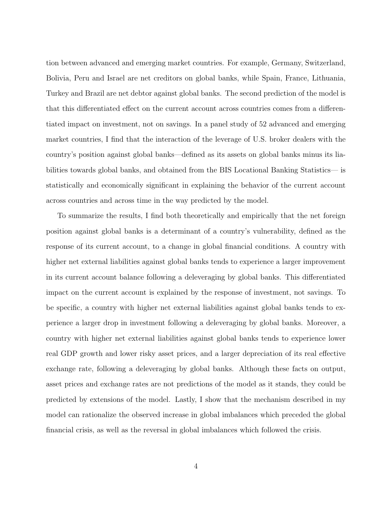tion between advanced and emerging market countries. For example, Germany, Switzerland, Bolivia, Peru and Israel are net creditors on global banks, while Spain, France, Lithuania, Turkey and Brazil are net debtor against global banks. The second prediction of the model is that this differentiated effect on the current account across countries comes from a differentiated impact on investment, not on savings. In a panel study of 52 advanced and emerging market countries, I find that the interaction of the leverage of U.S. broker dealers with the country's position against global banks—defined as its assets on global banks minus its liabilities towards global banks, and obtained from the BIS Locational Banking Statistics— is statistically and economically significant in explaining the behavior of the current account across countries and across time in the way predicted by the model.

To summarize the results, I find both theoretically and empirically that the net foreign position against global banks is a determinant of a country's vulnerability, defined as the response of its current account, to a change in global financial conditions. A country with higher net external liabilities against global banks tends to experience a larger improvement in its current account balance following a deleveraging by global banks. This differentiated impact on the current account is explained by the response of investment, not savings. To be specific, a country with higher net external liabilities against global banks tends to experience a larger drop in investment following a deleveraging by global banks. Moreover, a country with higher net external liabilities against global banks tends to experience lower real GDP growth and lower risky asset prices, and a larger depreciation of its real effective exchange rate, following a deleveraging by global banks. Although these facts on output, asset prices and exchange rates are not predictions of the model as it stands, they could be predicted by extensions of the model. Lastly, I show that the mechanism described in my model can rationalize the observed increase in global imbalances which preceded the global financial crisis, as well as the reversal in global imbalances which followed the crisis.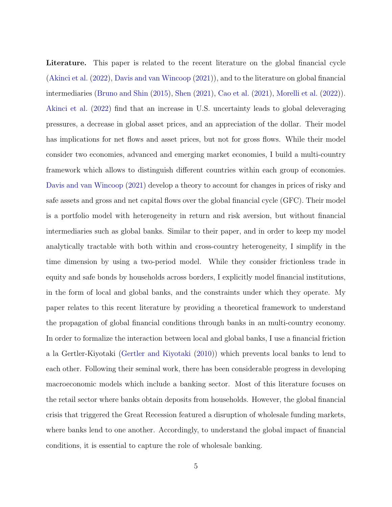Literature. This paper is related to the recent literature on the global financial cycle [\(Akinci et al.](#page-72-4) [\(2022\)](#page-72-4), [Davis and van Wincoop](#page-73-1) [\(2021\)](#page-73-1)), and to the literature on global financial intermediaries [\(Bruno and Shin](#page-72-0) [\(2015\)](#page-72-0), [Shen](#page-74-2) [\(2021\)](#page-74-2), [Cao et al.](#page-72-5) [\(2021\)](#page-72-5), [Morelli et al.](#page-74-3) [\(2022\)](#page-74-3)). [Akinci et al.](#page-72-4) [\(2022\)](#page-72-4) find that an increase in U.S. uncertainty leads to global deleveraging pressures, a decrease in global asset prices, and an appreciation of the dollar. Their model has implications for net flows and asset prices, but not for gross flows. While their model consider two economies, advanced and emerging market economies, I build a multi-country framework which allows to distinguish different countries within each group of economies. [Davis and van Wincoop](#page-73-1) [\(2021\)](#page-73-1) develop a theory to account for changes in prices of risky and safe assets and gross and net capital flows over the global financial cycle (GFC). Their model is a portfolio model with heterogeneity in return and risk aversion, but without financial intermediaries such as global banks. Similar to their paper, and in order to keep my model analytically tractable with both within and cross-country heterogeneity, I simplify in the time dimension by using a two-period model. While they consider frictionless trade in equity and safe bonds by households across borders, I explicitly model financial institutions, in the form of local and global banks, and the constraints under which they operate. My paper relates to this recent literature by providing a theoretical framework to understand the propagation of global financial conditions through banks in an multi-country economy. In order to formalize the interaction between local and global banks, I use a financial friction a la Gertler-Kiyotaki [\(Gertler and Kiyotaki](#page-73-2) [\(2010\)](#page-73-2)) which prevents local banks to lend to each other. Following their seminal work, there has been considerable progress in developing macroeconomic models which include a banking sector. Most of this literature focuses on the retail sector where banks obtain deposits from households. However, the global financial crisis that triggered the Great Recession featured a disruption of wholesale funding markets, where banks lend to one another. Accordingly, to understand the global impact of financial conditions, it is essential to capture the role of wholesale banking.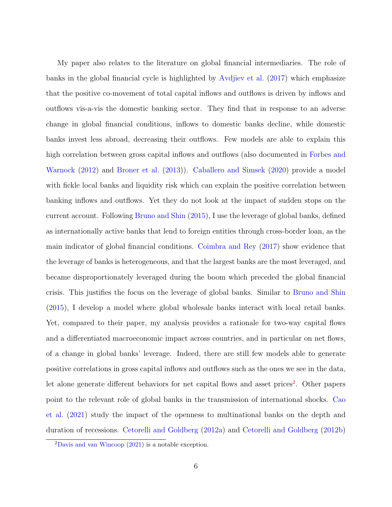My paper also relates to the literature on global financial intermediaries. The role of banks in the global financial cycle is highlighted by [Avdjiev et al.](#page-72-6) [\(2017\)](#page-72-6) which emphasize that the positive co-movement of total capital inflows and outflows is driven by inflows and outflows vis-a-vis the domestic banking sector. They find that in response to an adverse change in global financial conditions, inflows to domestic banks decline, while domestic banks invest less abroad, decreasing their outflows. Few models are able to explain this high correlation between gross capital inflows and outflows (also documented in [Forbes and](#page-73-3) [Warnock](#page-73-3) [\(2012\)](#page-73-3) and [Broner et al.](#page-72-7) [\(2013\)](#page-72-7)). [Caballero and Simsek](#page-72-8) [\(2020\)](#page-72-8) provide a model with fickle local banks and liquidity risk which can explain the positive correlation between banking inflows and outflows. Yet they do not look at the impact of sudden stops on the current account. Following [Bruno and Shin](#page-72-0) [\(2015\)](#page-72-0), I use the leverage of global banks, defined as internationally active banks that lend to foreign entities through cross-border loan, as the main indicator of global financial conditions. [Coimbra and Rey](#page-73-4) [\(2017\)](#page-73-4) show evidence that the leverage of banks is heterogeneous, and that the largest banks are the most leveraged, and became disproportionately leveraged during the boom which preceded the global financial crisis. This justifies the focus on the leverage of global banks. Similar to [Bruno and Shin](#page-72-0) [\(2015\)](#page-72-0), I develop a model where global wholesale banks interact with local retail banks. Yet, compared to their paper, my analysis provides a rationale for two-way capital flows and a differentiated macroeconomic impact across countries, and in particular on net flows, of a change in global banks' leverage. Indeed, there are still few models able to generate positive correlations in gross capital inflows and outflows such as the ones we see in the data, let alone generate different behaviors for net capital flows and asset prices<sup>[2](#page-6-0)</sup>. Other papers point to the relevant role of global banks in the transmission of international shocks. [Cao](#page-72-5) [et al.](#page-72-5) [\(2021\)](#page-72-5) study the impact of the openness to multinational banks on the depth and duration of recessions. [Cetorelli and Goldberg](#page-73-5) [\(2012a\)](#page-73-5) and [Cetorelli and Goldberg](#page-73-6) [\(2012b\)](#page-73-6)

<span id="page-6-0"></span> $2$ [Davis and van Wincoop](#page-73-1) [\(2021\)](#page-73-1) is a notable exception.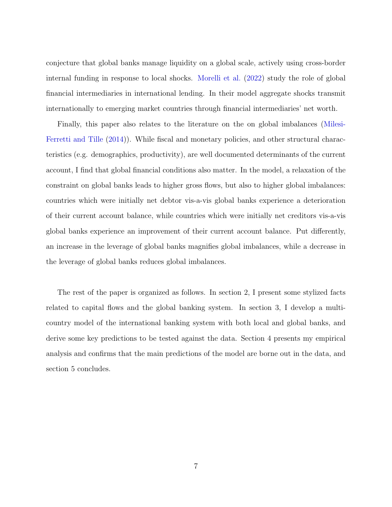conjecture that global banks manage liquidity on a global scale, actively using cross-border internal funding in response to local shocks. [Morelli et al.](#page-74-3) [\(2022\)](#page-74-3) study the role of global financial intermediaries in international lending. In their model aggregate shocks transmit internationally to emerging market countries through financial intermediaries' net worth.

Finally, this paper also relates to the literature on the on global imbalances [\(Milesi-](#page-73-7)[Ferretti and Tille](#page-73-7) [\(2014\)](#page-73-7)). While fiscal and monetary policies, and other structural characteristics (e.g. demographics, productivity), are well documented determinants of the current account, I find that global financial conditions also matter. In the model, a relaxation of the constraint on global banks leads to higher gross flows, but also to higher global imbalances: countries which were initially net debtor vis-a-vis global banks experience a deterioration of their current account balance, while countries which were initially net creditors vis-a-vis global banks experience an improvement of their current account balance. Put differently, an increase in the leverage of global banks magnifies global imbalances, while a decrease in the leverage of global banks reduces global imbalances.

The rest of the paper is organized as follows. In section 2, I present some stylized facts related to capital flows and the global banking system. In section 3, I develop a multicountry model of the international banking system with both local and global banks, and derive some key predictions to be tested against the data. Section 4 presents my empirical analysis and confirms that the main predictions of the model are borne out in the data, and section 5 concludes.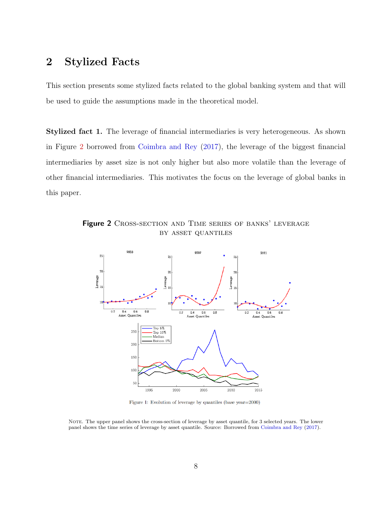# 2 Stylized Facts

This section presents some stylized facts related to the global banking system and that will be used to guide the assumptions made in the theoretical model.

Stylized fact 1. The leverage of financial intermediaries is very heterogeneous. As shown in Figure [2](#page-8-0) borrowed from [Coimbra and Rey](#page-73-4) [\(2017\)](#page-73-4), the leverage of the biggest financial intermediaries by asset size is not only higher but also more volatile than the leverage of other financial intermediaries. This motivates the focus on the leverage of global banks in this paper.

<span id="page-8-0"></span>Figure 2 CROSS-SECTION AND TIME SERIES OF BANKS' LEVERAGE by asset quantiles



Figure 1: Evolution of leverage by quantiles (base year=2000)

NOTE. The upper panel shows the cross-section of leverage by asset quantile, for 3 selected years. The lower panel shows the time series of leverage by asset quantile. Source: Borrowed from [Coimbra and Rey](#page-73-4) [\(2017\)](#page-73-4).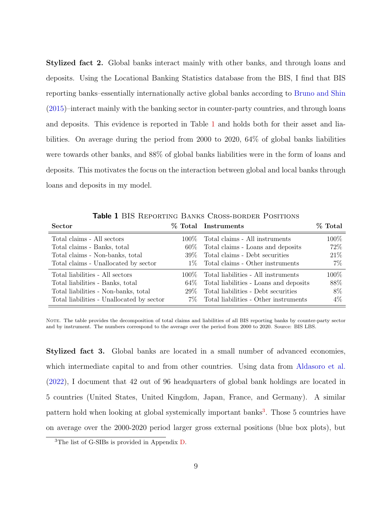Stylized fact 2. Global banks interact mainly with other banks, and through loans and deposits. Using the Locational Banking Statistics database from the BIS, I find that BIS reporting banks–essentially internationally active global banks according to [Bruno and Shin](#page-72-0) [\(2015\)](#page-72-0)–interact mainly with the banking sector in counter-party countries, and through loans and deposits. This evidence is reported in Table [1](#page-9-0) and holds both for their asset and liabilities. On average during the period from 2000 to 2020, 64% of global banks liabilities were towards other banks, and 88% of global banks liabilities were in the form of loans and deposits. This motivates the focus on the interaction between global and local banks through loans and deposits in my model.

**Table 1 BIS REPORTING BANKS CROSS-BORDER POSITIONS** 

<span id="page-9-0"></span>

| <b>Sector</b>                             |        | % Total Instruments                       | % Total |
|-------------------------------------------|--------|-------------------------------------------|---------|
| Total claims - All sectors                | 100%   | Total claims - All instruments            | 100%    |
| Total claims - Banks, total               | $60\%$ | Total claims - Loans and deposits         | 72%     |
| Total claims - Non-banks, total           | 39%    | Total claims - Debt securities            | 21\%    |
| Total claims - Unallocated by sector      | $1\%$  | Total claims - Other instruments          | $7\%$   |
| Total liabilities - All sectors           | 100%   | Total liabilities - All instruments       | 100%    |
| Total liabilities - Banks, total          | 64%    | Total liabilities - Loans and deposits    | 88%     |
| Total liabilities - Non-banks, total      | 29%    | Total liabilities - Debt securities       | 8%      |
| Total liabilities - Unallocated by sector |        | 7\% Total liabilities - Other instruments | $4\%$   |

Note. The table provides the decomposition of total claims and liabilities of all BIS reporting banks by counter-party sector and by instrument. The numbers correspond to the average over the period from 2000 to 2020. Source: BIS LBS.

Stylized fact 3. Global banks are located in a small number of advanced economies, which intermediate capital to and from other countries. Using data from [Aldasoro et al.](#page-72-9) [\(2022\)](#page-72-9), I document that 42 out of 96 headquarters of global bank holdings are located in 5 countries (United States, United Kingdom, Japan, France, and Germany). A similar pattern hold when looking at global systemically important banks<sup>[3](#page-9-1)</sup>. Those 5 countries have on average over the 2000-2020 period larger gross external positions (blue box plots), but

<span id="page-9-1"></span><sup>3</sup>The list of G-SIBs is provided in Appendix [D.](#page-71-0)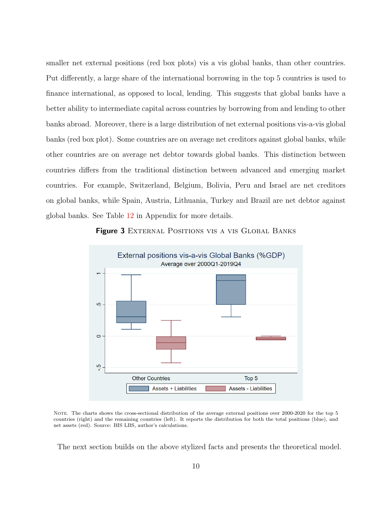smaller net external positions (red box plots) vis a vis global banks, than other countries. Put differently, a large share of the international borrowing in the top 5 countries is used to finance international, as opposed to local, lending. This suggests that global banks have a better ability to intermediate capital across countries by borrowing from and lending to other banks abroad. Moreover, there is a large distribution of net external positions vis-a-vis global banks (red box plot). Some countries are on average net creditors against global banks, while other countries are on average net debtor towards global banks. This distinction between countries differs from the traditional distinction between advanced and emerging market countries. For example, Switzerland, Belgium, Bolivia, Peru and Israel are net creditors on global banks, while Spain, Austria, Lithuania, Turkey and Brazil are net debtor against global banks. See Table [12](#page-60-0) in Appendix for more details.

Figure 3 EXTERNAL POSITIONS VIS A VIS GLOBAL BANKS



Note. The charts shows the cross-sectional distribution of the average external positions over 2000-2020 for the top 5 countries (right) and the remaining countries (left). It reports the distribution for both the total positions (blue), and net assets (red). Source: BIS LBS, author's calculations.

The next section builds on the above stylized facts and presents the theoretical model.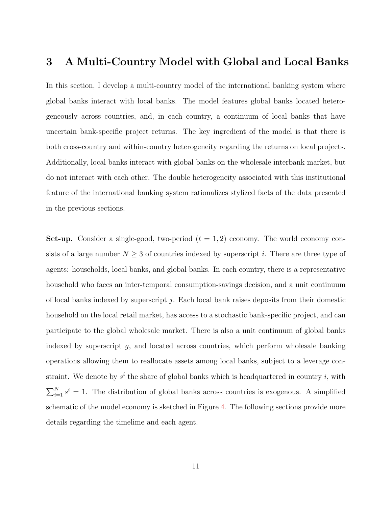## 3 A Multi-Country Model with Global and Local Banks

In this section, I develop a multi-country model of the international banking system where global banks interact with local banks. The model features global banks located heterogeneously across countries, and, in each country, a continuum of local banks that have uncertain bank-specific project returns. The key ingredient of the model is that there is both cross-country and within-country heterogeneity regarding the returns on local projects. Additionally, local banks interact with global banks on the wholesale interbank market, but do not interact with each other. The double heterogeneity associated with this institutional feature of the international banking system rationalizes stylized facts of the data presented in the previous sections.

**Set-up.** Consider a single-good, two-period  $(t = 1, 2)$  economy. The world economy consists of a large number  $N \geq 3$  of countries indexed by superscript i. There are three type of agents: households, local banks, and global banks. In each country, there is a representative household who faces an inter-temporal consumption-savings decision, and a unit continuum of local banks indexed by superscript  $j$ . Each local bank raises deposits from their domestic household on the local retail market, has access to a stochastic bank-specific project, and can participate to the global wholesale market. There is also a unit continuum of global banks indexed by superscript  $g$ , and located across countries, which perform wholesale banking operations allowing them to reallocate assets among local banks, subject to a leverage constraint. We denote by  $s^i$  the share of global banks which is headquartered in country i, with  $\sum_{i=1}^{N} s^i = 1$ . The distribution of global banks across countries is exogenous. A simplified schematic of the model economy is sketched in Figure [4.](#page-12-0) The following sections provide more details regarding the timelime and each agent.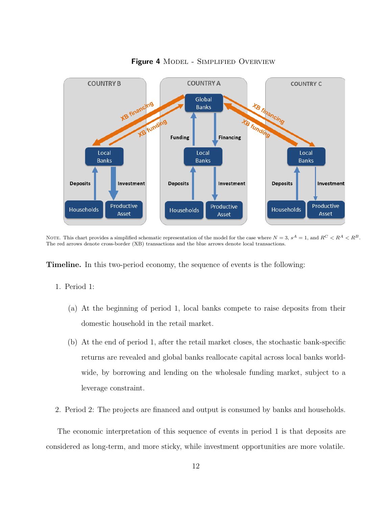<span id="page-12-0"></span>

Figure 4 MODEL - SIMPLIFIED OVERVIEW

NOTE. This chart provides a simplified schematic representation of the model for the case where  $N = 3$ ,  $s^A = 1$ , and  $R^C < R^A < R^B$ . The red arrows denote cross-border (XB) transactions and the blue arrows denote local transactions.

Timeline. In this two-period economy, the sequence of events is the following:

#### 1. Period 1:

- (a) At the beginning of period 1, local banks compete to raise deposits from their domestic household in the retail market.
- (b) At the end of period 1, after the retail market closes, the stochastic bank-specific returns are revealed and global banks reallocate capital across local banks worldwide, by borrowing and lending on the wholesale funding market, subject to a leverage constraint.
- 2. Period 2: The projects are financed and output is consumed by banks and households.

The economic interpretation of this sequence of events in period 1 is that deposits are considered as long-term, and more sticky, while investment opportunities are more volatile.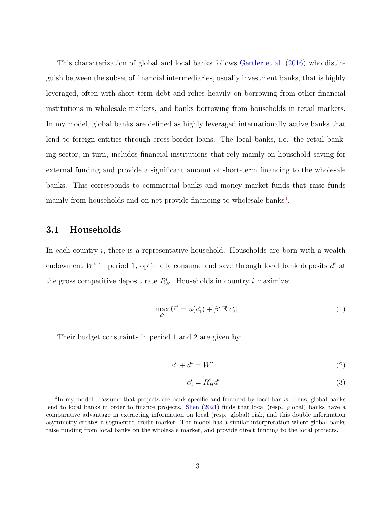This characterization of global and local banks follows [Gertler et al.](#page-73-8) [\(2016\)](#page-73-8) who distinguish between the subset of financial intermediaries, usually investment banks, that is highly leveraged, often with short-term debt and relies heavily on borrowing from other financial institutions in wholesale markets, and banks borrowing from households in retail markets. In my model, global banks are defined as highly leveraged internationally active banks that lend to foreign entities through cross-border loans. The local banks, i.e. the retail banking sector, in turn, includes financial institutions that rely mainly on household saving for external funding and provide a significant amount of short-term financing to the wholesale banks. This corresponds to commercial banks and money market funds that raise funds mainly from households and on net provide financing to wholesale banks<sup>[4](#page-13-0)</sup>.

## 3.1 Households

In each country  $i$ , there is a representative household. Households are born with a wealth endowment  $W^i$  in period 1, optimally consume and save through local bank deposits  $d^i$  at the gross competitive deposit rate  $R_H^i$ . Households in country *i* maximize:

$$
\max_{d^i} U^i = u(c_1^i) + \beta^i \mathbb{E}[c_2^i]
$$
\n(1)

Their budget constraints in period 1 and 2 are given by:

$$
c_1^i + d^i = W^i \tag{2}
$$

$$
c_2^j = R_H^i d^i \tag{3}
$$

<span id="page-13-0"></span><sup>&</sup>lt;sup>4</sup>In my model, I assume that projects are bank-specific and financed by local banks. Thus, global banks lend to local banks in order to finance projects. [Shen](#page-74-2) [\(2021\)](#page-74-2) finds that local (resp. global) banks have a comparative advantage in extracting information on local (resp. global) risk, and this double information asymmetry creates a segmented credit market. The model has a similar interpretation where global banks raise funding from local banks on the wholesale market, and provide direct funding to the local projects.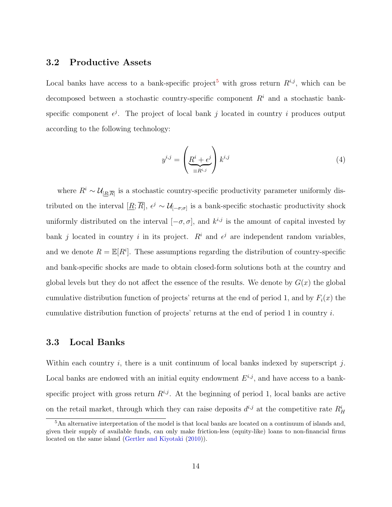## 3.2 Productive Assets

Local banks have access to a bank-specific project<sup>[5](#page-14-0)</sup> with gross return  $R^{i,j}$ , which can be decomposed between a stochastic country-specific component  $R<sup>i</sup>$  and a stochastic bankspecific component  $\epsilon^{j}$ . The project of local bank j located in country i produces output according to the following technology:

<span id="page-14-1"></span>
$$
y^{i,j} = \left(\underbrace{R^i + \epsilon^j}_{\equiv R^{i,j}}\right) k^{i,j} \tag{4}
$$

where  $R^i \sim \mathcal{U}_{[R;\overline{R}]}$  is a stochastic country-specific productivity parameter uniformly distributed on the interval  $[\underline{R}; \overline{R}]$ ,  $\epsilon^j \sim \mathcal{U}_{[-\sigma;\sigma]}$  is a bank-specific stochastic productivity shock uniformly distributed on the interval  $[-\sigma, \sigma]$ , and  $k^{i,j}$  is the amount of capital invested by bank j located in country i in its project.  $R^i$  and  $\epsilon^j$  are independent random variables, and we denote  $R = \mathbb{E}[R^i]$ . These assumptions regarding the distribution of country-specific and bank-specific shocks are made to obtain closed-form solutions both at the country and global levels but they do not affect the essence of the results. We denote by  $G(x)$  the global cumulative distribution function of projects' returns at the end of period 1, and by  $F_i(x)$  the cumulative distribution function of projects' returns at the end of period 1 in country i.

### 3.3 Local Banks

Within each country i, there is a unit continuum of local banks indexed by superscript j. Local banks are endowed with an initial equity endowment  $E^{i,j}$ , and have access to a bankspecific project with gross return  $R^{i,j}$ . At the beginning of period 1, local banks are active on the retail market, through which they can raise deposits  $d^{i,j}$  at the competitive rate  $R_H^i$ 

<span id="page-14-0"></span><sup>5</sup>An alternative interpretation of the model is that local banks are located on a continuum of islands and, given their supply of available funds, can only make friction-less (equity-like) loans to non-financial firms located on the same island [\(Gertler and Kiyotaki](#page-73-2) [\(2010\)](#page-73-2)).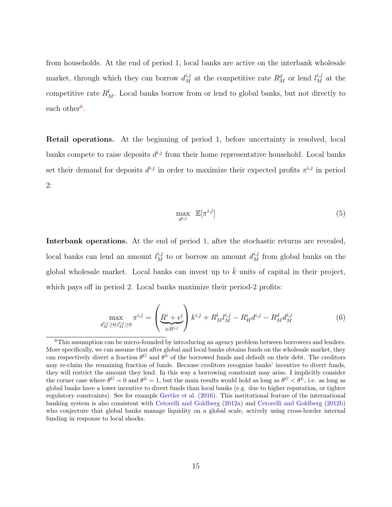from households. At the end of period 1, local banks are active on the interbank wholesale market, through which they can borrow  $d_M^{i,j}$  at the competitive rate  $R_M^d$  or lend  $l_M^{i,j}$  at the competitive rate  $R_M^l$ . Local banks borrow from or lend to global banks, but not directly to each other<sup>[6](#page-15-0)</sup>.

Retail operations. At the beginning of period 1, before uncertainty is resolved, local banks compete to raise deposits  $d^{i,j}$  from their home representative household. Local banks set their demand for deposits  $d^{i,j}$  in order to maximize their expected profits  $\pi^{i,j}$  in period 2:

$$
\max_{d^{i,j}} \mathbb{E}[\pi^{i,j}] \tag{5}
$$

Interbank operations. At the end of period 1, after the stochastic returns are revealed, local banks can lend an amount  $l_M^{i,j}$  to or borrow an amount  $d_M^{i,j}$  from global banks on the global wholesale market. Local banks can invest up to  $\bar{k}$  units of capital in their project, which pays off in period 2. Local banks maximize their period-2 profits:

$$
\max_{d_M^{i,j}\geq 0, l_M^{i,j}\geq 0} \pi^{i,j} = \left(\underbrace{R^i + \epsilon^j}_{\equiv R^{i,j}}\right) k^{i,j} + R_M^l l_M^{i,j} - R_H^i d^{i,j} - R_M^d d_M^{i,j}
$$
(6)

<span id="page-15-0"></span> ${}^{6}$ This assumption can be micro-founded by introducing an agency problem between borrowers and lenders. More specifically, we can assume that after global and local banks obtains funds on the wholesale market, they can respectively divert a fraction  $\theta^G$  and  $\theta^L$  of the borrowed funds and default on their debt. The creditors may re-claim the remaining fraction of funds. Because creditors recognize banks' incentive to divert funds, they will restrict the amount they lend. In this way a borrowing constraint may arise. I implicitly consider the corner case where  $\theta^G = 0$  and  $\theta^L = 1$ , but the main results would hold as long as  $\theta^G < \theta^L$ , i.e. as long as global banks have a lower incentive to divert funds than local banks (e.g. due to higher reputation, or tighter regulatory constraints). See for example [Gertler et al.](#page-73-8) [\(2016\)](#page-73-8). This institutional feature of the international banking system is also consistent with [Cetorelli and Goldberg](#page-73-5) [\(2012a\)](#page-73-5) and [Cetorelli and Goldberg](#page-73-6) [\(2012b\)](#page-73-6) who conjecture that global banks manage liquidity on a global scale, actively using cross-border internal funding in response to local shocks.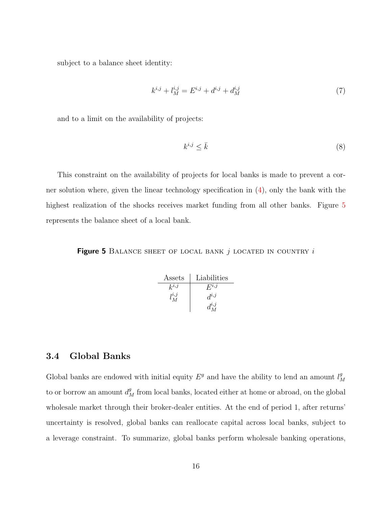subject to a balance sheet identity:

$$
k^{i,j} + l_M^{i,j} = E^{i,j} + d^{i,j} + d_M^{i,j}
$$
\n<sup>(7)</sup>

and to a limit on the availability of projects:

$$
k^{i,j} \le \bar{k} \tag{8}
$$

This constraint on the availability of projects for local banks is made to prevent a corner solution where, given the linear technology specification in [\(4\)](#page-14-1), only the bank with the highest realization of the shocks receives market funding from all other banks. Figure [5](#page-16-0) represents the balance sheet of a local bank.

<span id="page-16-0"></span>Figure 5 BALANCE SHEET OF LOCAL BANK  $j$  located in country  $i$ 

| Assets      | Liabilities |
|-------------|-------------|
| $k^{i,j}$   | $F^{i,j}$   |
| $l_M^{i,j}$ | $d^{i,j}$   |
|             |             |

## 3.4 Global Banks

Global banks are endowed with initial equity  $E^g$  and have the ability to lend an amount  $l^g_{\Lambda}$ M to or borrow an amount  $d_M^g$  from local banks, located either at home or abroad, on the global wholesale market through their broker-dealer entities. At the end of period 1, after returns' uncertainty is resolved, global banks can reallocate capital across local banks, subject to a leverage constraint. To summarize, global banks perform wholesale banking operations,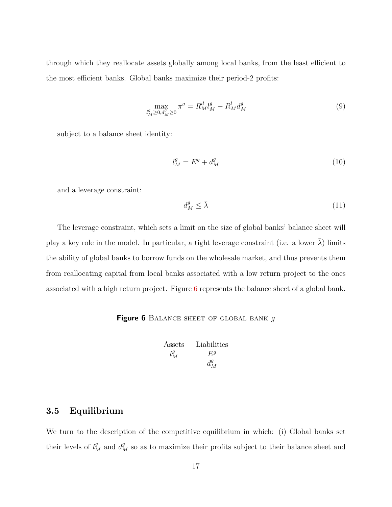through which they reallocate assets globally among local banks, from the least efficient to the most efficient banks. Global banks maximize their period-2 profits:

$$
\max_{l_M^g \ge 0, d_M^g \ge 0} \pi^g = R_M^d l_M^g - R_M^l d_M^g \tag{9}
$$

subject to a balance sheet identity:

$$
l_M^g = E^g + d_M^g \tag{10}
$$

and a leverage constraint:

$$
d_M^g \le \bar{\lambda} \tag{11}
$$

The leverage constraint, which sets a limit on the size of global banks' balance sheet will play a key role in the model. In particular, a tight leverage constraint (i.e. a lower  $\lambda$ ) limits the ability of global banks to borrow funds on the wholesale market, and thus prevents them from reallocating capital from local banks associated with a low return project to the ones associated with a high return project. Figure [6](#page-17-0) represents the balance sheet of a global bank.

#### <span id="page-17-0"></span>Figure 6 BALANCE SHEET OF GLOBAL BANK  $g$

| Assets  | Liabilities |
|---------|-------------|
| $l_M^g$ | $E^g$       |
| $d_M^g$ | $d_M^g$     |

## 3.5 Equilibrium

We turn to the description of the competitive equilibrium in which: (i) Global banks set their levels of  $l_M^g$  and  $d_M^g$  so as to maximize their profits subject to their balance sheet and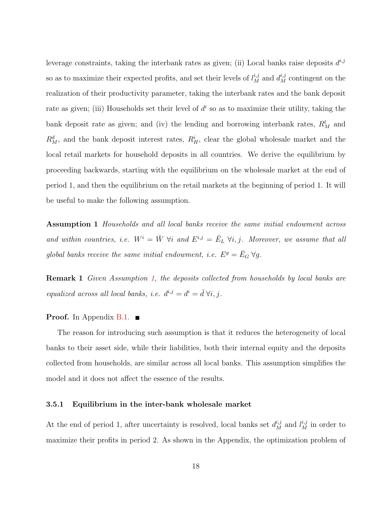leverage constraints, taking the interbank rates as given; (ii) Local banks raise deposits  $d^{i,j}$ so as to maximize their expected profits, and set their levels of  $l_M^{i,j}$  and  $d_M^{i,j}$  contingent on the realization of their productivity parameter, taking the interbank rates and the bank deposit rate as given; (iii) Households set their level of  $d<sup>i</sup>$  so as to maximize their utility, taking the bank deposit rate as given; and (iv) the lending and borrowing interbank rates,  $R_M^l$  and  $R_M^d$ , and the bank deposit interest rates,  $R_H^i$ , clear the global wholesale market and the local retail markets for household deposits in all countries. We derive the equilibrium by proceeding backwards, starting with the equilibrium on the wholesale market at the end of period 1, and then the equilibrium on the retail markets at the beginning of period 1. It will be useful to make the following assumption.

<span id="page-18-0"></span>Assumption 1 Households and all local banks receive the same initial endowment across and within countries, i.e.  $W^i = \overline{W} \ \forall i$  and  $E^{i,j} = \overline{E}_L \ \forall i,j$ . Moreover, we assume that all global banks receive the same initial endowment, i.e.  $E^g = \bar{E}_G \,\forall g$ .

<span id="page-18-1"></span>**Remark 1** Given Assumption [1,](#page-18-0) the deposits collected from households by local banks are equalized across all local banks, i.e.  $d^{i,j} = d^i = \overline{d} \ \forall i, j$ .

#### **Proof.** In Appendix  $B.1$ .

The reason for introducing such assumption is that it reduces the heterogeneity of local banks to their asset side, while their liabilities, both their internal equity and the deposits collected from households, are similar across all local banks. This assumption simplifies the model and it does not affect the essence of the results.

#### 3.5.1 Equilibrium in the inter-bank wholesale market

At the end of period 1, after uncertainty is resolved, local banks set  $d_M^{i,j}$  and  $l_M^{i,j}$  in order to maximize their profits in period 2. As shown in the Appendix, the optimization problem of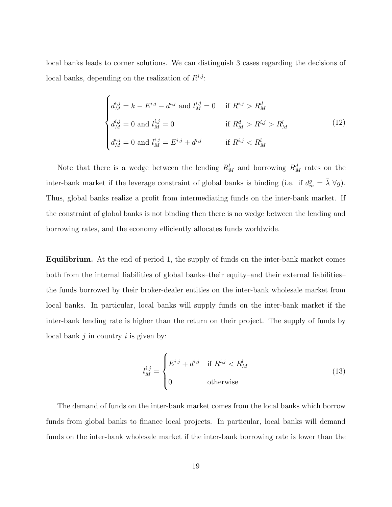local banks leads to corner solutions. We can distinguish 3 cases regarding the decisions of local banks, depending on the realization of  $R^{i,j}$ :

$$
\begin{cases}\nd_M^{i,j} = k - E^{i,j} - d^{i,j} \text{ and } l_M^{i,j} = 0 & \text{if } R^{i,j} > R_M^d \\
d_M^{i,j} = 0 \text{ and } l_M^{i,j} = 0 & \text{if } R_M^d > R^{i,j} > R_M^l \\
d_M^{i,j} = 0 \text{ and } l_M^{i,j} = E^{i,j} + d^{i,j} & \text{if } R^{i,j} < R_M^l\n\end{cases}
$$
\n(12)

Note that there is a wedge between the lending  $R_M^l$  and borrowing  $R_M^d$  rates on the inter-bank market if the leverage constraint of global banks is binding (i.e. if  $d_m^g = \overline{\lambda} \ \forall g$ ). Thus, global banks realize a profit from intermediating funds on the inter-bank market. If the constraint of global banks is not binding then there is no wedge between the lending and borrowing rates, and the economy efficiently allocates funds worldwide.

Equilibrium. At the end of period 1, the supply of funds on the inter-bank market comes both from the internal liabilities of global banks–their equity–and their external liabilities– the funds borrowed by their broker-dealer entities on the inter-bank wholesale market from local banks. In particular, local banks will supply funds on the inter-bank market if the inter-bank lending rate is higher than the return on their project. The supply of funds by local bank  $j$  in country  $i$  is given by:

$$
l_M^{i,j} = \begin{cases} E^{i,j} + d^{i,j} & \text{if } R^{i,j} < R_M^l \\ 0 & \text{otherwise} \end{cases} \tag{13}
$$

The demand of funds on the inter-bank market comes from the local banks which borrow funds from global banks to finance local projects. In particular, local banks will demand funds on the inter-bank wholesale market if the inter-bank borrowing rate is lower than the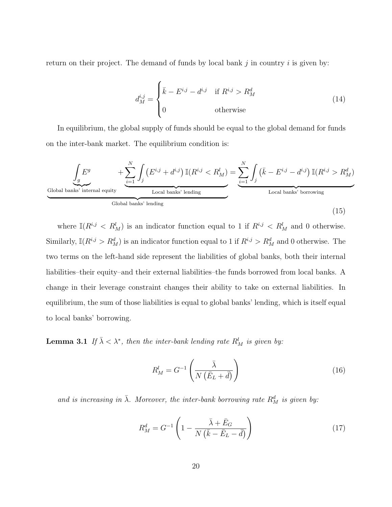return on their project. The demand of funds by local bank  $j$  in country  $i$  is given by:

$$
d_M^{i,j} = \begin{cases} \bar{k} - E^{i,j} - d^{i,j} & \text{if } R^{i,j} > R_M^d \\ 0 & \text{otherwise} \end{cases} \tag{14}
$$

In equilibrium, the global supply of funds should be equal to the global demand for funds on the inter-bank market. The equilibrium condition is:

$$
\underbrace{\int_{g} E^{g} + \sum_{i=1}^{N} \int_{j} \left( E^{i,j} + d^{i,j} \right) \mathbb{I}(R^{i,j} < R_{M}^{l})}_{\text{Local banks' lending}} = \underbrace{\sum_{i=1}^{N} \int_{j} \left( \bar{k} - E^{i,j} - d^{i,j} \right) \mathbb{I}(R^{i,j} > R_{M}^{d})}_{\text{Local banks' borrowing}}
$$
\n(15)

where  $\mathbb{I}(R^{i,j} < R_M^l)$  is an indicator function equal to 1 if  $R^{i,j} < R_M^l$  and 0 otherwise. Similarly,  $\mathbb{I}(R^{i,j} > R_M^d)$  is an indicator function equal to 1 if  $R^{i,j} > R_M^d$  and 0 otherwise. The two terms on the left-hand side represent the liabilities of global banks, both their internal liabilities–their equity–and their external liabilities–the funds borrowed from local banks. A change in their leverage constraint changes their ability to take on external liabilities. In equilibrium, the sum of those liabilities is equal to global banks' lending, which is itself equal to local banks' borrowing.

<span id="page-20-0"></span>**Lemma 3.1** If  $\bar{\lambda} < \lambda^*$ , then the inter-bank lending rate  $R_M^l$  is given by:

$$
R_M^l = G^{-1}\left(\frac{\bar{\lambda}}{N\left(\bar{E}_L + \bar{d}\right)}\right) \tag{16}
$$

and is increasing in  $\bar{\lambda}$ . Moreover, the inter-bank borrowing rate  $R_M^d$  is given by:

$$
R_M^d = G^{-1} \left( 1 - \frac{\bar{\lambda} + \bar{E}_G}{N \left( \bar{k} - \bar{E}_L - \bar{d} \right)} \right) \tag{17}
$$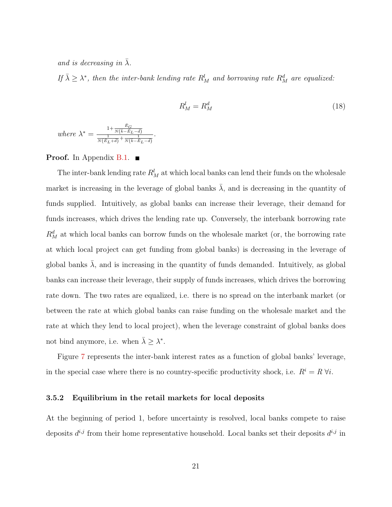and is decreasing in  $\lambda$ .

If  $\bar{\lambda} \geq \lambda^*$ , then the inter-bank lending rate  $R_M^l$  and borrowing rate  $R_M^d$  are equalized:

$$
R_M^l = R_M^d \tag{18}
$$

where 
$$
\lambda^* = \frac{1 + \frac{\bar{E}_G}{N(\bar{k} - \bar{E}_L - \bar{d})}}{\frac{1}{N(\bar{E}_L + \bar{d})} + \frac{1}{N(\bar{k} - \bar{E}_L - \bar{d})}}
$$

.

#### **Proof.** In Appendix [B.1.](#page-46-0)  $\blacksquare$

The inter-bank lending rate  $R_M^l$  at which local banks can lend their funds on the wholesale market is increasing in the leverage of global banks  $\overline{\lambda}$ , and is decreasing in the quantity of funds supplied. Intuitively, as global banks can increase their leverage, their demand for funds increases, which drives the lending rate up. Conversely, the interbank borrowing rate  $R_M^d$  at which local banks can borrow funds on the wholesale market (or, the borrowing rate at which local project can get funding from global banks) is decreasing in the leverage of global banks  $\lambda$ , and is increasing in the quantity of funds demanded. Intuitively, as global banks can increase their leverage, their supply of funds increases, which drives the borrowing rate down. The two rates are equalized, i.e. there is no spread on the interbank market (or between the rate at which global banks can raise funding on the wholesale market and the rate at which they lend to local project), when the leverage constraint of global banks does not bind anymore, i.e. when  $\bar{\lambda} \geq \lambda^*$ .

Figure [7](#page-22-0) represents the inter-bank interest rates as a function of global banks' leverage, in the special case where there is no country-specific productivity shock, i.e.  $R^i = R \; \forall i$ .

#### 3.5.2 Equilibrium in the retail markets for local deposits

At the beginning of period 1, before uncertainty is resolved, local banks compete to raise deposits  $d^{i,j}$  from their home representative household. Local banks set their deposits  $d^{i,j}$  in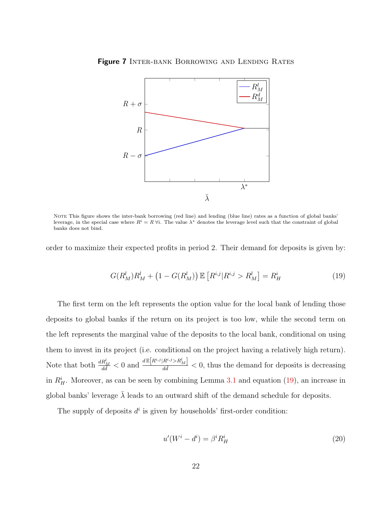

<span id="page-22-0"></span>Figure 7 INTER-BANK BORROWING AND LENDING RATES

NOTE This figure shows the inter-bank borrowing (red line) and lending (blue line) rates as a function of global banks' leverage, in the special case where  $R^i = R \forall i$ . The value  $\lambda^*$  denotes the leverage level such that the constraint of global banks does not bind.

order to maximize their expected profits in period 2. Their demand for deposits is given by:

<span id="page-22-1"></span>
$$
G(R_M^l)R_M^l + \left(1 - G(R_M^l)\right) \mathbb{E}\left[R^{i,j}|R^{i,j} > R_M^l\right] = R_H^i \tag{19}
$$

The first term on the left represents the option value for the local bank of lending those deposits to global banks if the return on its project is too low, while the second term on the left represents the marginal value of the deposits to the local bank, conditional on using them to invest in its project (i.e. conditional on the project having a relatively high return). Note that both  $\frac{dR_M^l}{d\tilde{d}} < 0$  and  $\frac{dE[R^{i,j}|R^{i,j} > R_M^l]}{d\tilde{d}} < 0$ , thus the demand for deposits is decreasing in  $R_H^i$ . Moreover, as can be seen by combining Lemma [3.1](#page-20-0) and equation [\(19\)](#page-22-1), an increase in global banks' leverage  $\overline{\lambda}$  leads to an outward shift of the demand schedule for deposits.

The supply of deposits  $d^i$  is given by households' first-order condition:

<span id="page-22-2"></span>
$$
u'(W^i - d^i) = \beta^i R_H^i \tag{20}
$$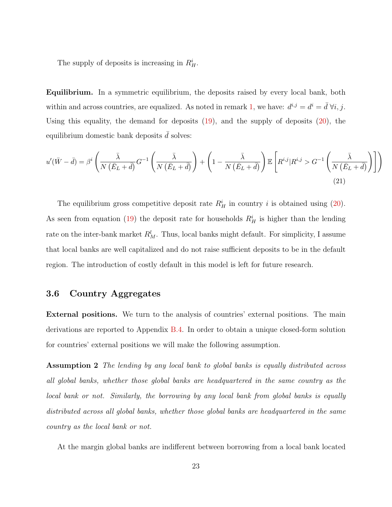The supply of deposits is increasing in  $R_H^i$ .

Equilibrium. In a symmetric equilibrium, the deposits raised by every local bank, both within and across countries, are equalized. As noted in remark [1,](#page-18-1) we have:  $d^{i,j} = d^i = \bar{d} \ \forall i, j$ . Using this equality, the demand for deposits  $(19)$ , and the supply of deposits  $(20)$ , the equilibrium domestic bank deposits  $d$  solves:

$$
u'(\bar{W} - \bar{d}) = \beta^i \left( \frac{\bar{\lambda}}{N(\bar{E}_L + \bar{d})} G^{-1} \left( \frac{\bar{\lambda}}{N(\bar{E}_L + \bar{d})} \right) + \left( 1 - \frac{\bar{\lambda}}{N(\bar{E}_L + \bar{d})} \right) \mathbb{E} \left[ R^{i,j} | R^{i,j} > G^{-1} \left( \frac{\bar{\lambda}}{N(\bar{E}_L + \bar{d})} \right) \right] \right)
$$
\n(21)

The equilibrium gross competitive deposit rate  $R_H^i$  in country i is obtained using [\(20\)](#page-22-2). As seen from equation [\(19\)](#page-22-1) the deposit rate for households  $R_H^i$  is higher than the lending rate on the inter-bank market  $R_M^l$ . Thus, local banks might default. For simplicity, I assume that local banks are well capitalized and do not raise sufficient deposits to be in the default region. The introduction of costly default in this model is left for future research.

## 3.6 Country Aggregates

External positions. We turn to the analysis of countries' external positions. The main derivations are reported to Appendix [B.4.](#page-52-0) In order to obtain a unique closed-form solution for countries' external positions we will make the following assumption.

Assumption 2 The lending by any local bank to global banks is equally distributed across all global banks, whether those global banks are headquartered in the same country as the local bank or not. Similarly, the borrowing by any local bank from global banks is equally distributed across all global banks, whether those global banks are headquartered in the same country as the local bank or not.

At the margin global banks are indifferent between borrowing from a local bank located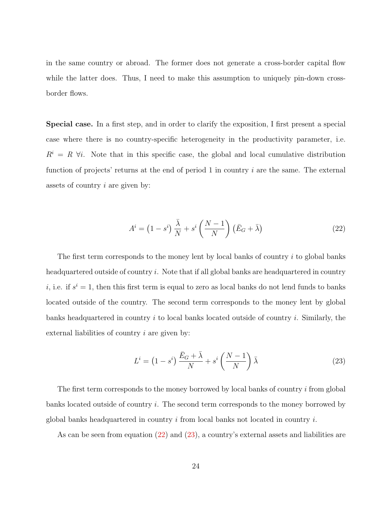in the same country or abroad. The former does not generate a cross-border capital flow while the latter does. Thus, I need to make this assumption to uniquely pin-down crossborder flows.

Special case. In a first step, and in order to clarify the exposition, I first present a special case where there is no country-specific heterogeneity in the productivity parameter, i.e.  $R^i = R \; \forall i$ . Note that in this specific case, the global and local cumulative distribution function of projects' returns at the end of period 1 in country  $i$  are the same. The external assets of country i are given by:

<span id="page-24-0"></span>
$$
A^{i} = (1 - s^{i}) \frac{\bar{\lambda}}{N} + s^{i} \left(\frac{N - 1}{N}\right) \left(\bar{E}_{G} + \bar{\lambda}\right)
$$
 (22)

The first term corresponds to the money lent by local banks of country  $i$  to global banks headquartered outside of country  $i$ . Note that if all global banks are headquartered in country *i*, i.e. if  $s^i = 1$ , then this first term is equal to zero as local banks do not lend funds to banks located outside of the country. The second term corresponds to the money lent by global banks headquartered in country  $i$  to local banks located outside of country  $i$ . Similarly, the external liabilities of country  $i$  are given by:

<span id="page-24-1"></span>
$$
L^{i} = \left(1 - s^{i}\right) \frac{\bar{E}_{G} + \bar{\lambda}}{N} + s^{i} \left(\frac{N-1}{N}\right) \bar{\lambda}
$$
\n(23)

The first term corresponds to the money borrowed by local banks of country i from global banks located outside of country i. The second term corresponds to the money borrowed by global banks headquartered in country  $i$  from local banks not located in country  $i$ .

As can be seen from equation [\(22\)](#page-24-0) and [\(23\)](#page-24-1), a country's external assets and liabilities are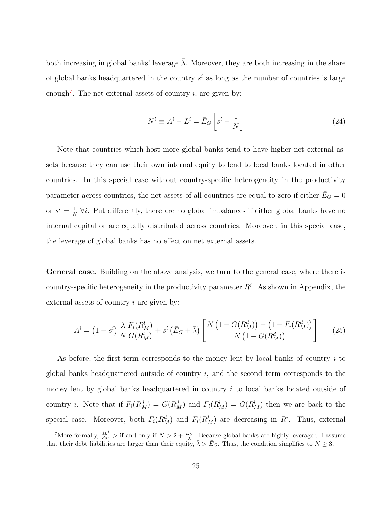both increasing in global banks' leverage  $\lambda$ . Moreover, they are both increasing in the share of global banks headquartered in the country  $s^i$  as long as the number of countries is large enough<sup>[7](#page-25-0)</sup>. The net external assets of country  $i$ , are given by:

$$
N^i \equiv A^i - L^i = \bar{E}_G \left[ s^i - \frac{1}{N} \right]
$$
 (24)

Note that countries which host more global banks tend to have higher net external assets because they can use their own internal equity to lend to local banks located in other countries. In this special case without country-specific heterogeneity in the productivity parameter across countries, the net assets of all countries are equal to zero if either  $\bar{E}_G = 0$ or  $s^i = \frac{1}{N}$  $\frac{1}{N}$   $\forall i$ . Put differently, there are no global imbalances if either global banks have no internal capital or are equally distributed across countries. Moreover, in this special case, the leverage of global banks has no effect on net external assets.

General case. Building on the above analysis, we turn to the general case, where there is country-specific heterogeneity in the productivity parameter  $R<sup>i</sup>$ . As shown in Appendix, the external assets of country *i* are given by:

$$
A^{i} = (1 - s^{i}) \frac{\bar{\lambda}}{N} \frac{F_{i}(R_{M}^{l})}{G(R_{M}^{l})} + s^{i} (\bar{E}_{G} + \bar{\lambda}) \left[ \frac{N (1 - G(R_{M}^{d})) - (1 - F_{i}(R_{M}^{d}))}{N (1 - G(R_{M}^{d}))} \right]
$$
(25)

As before, the first term corresponds to the money lent by local banks of country  $i$  to global banks headquartered outside of country  $i$ , and the second term corresponds to the money lent by global banks headquartered in country i to local banks located outside of country *i*. Note that if  $F_i(R_M^d) = G(R_M^d)$  and  $F_i(R_M^l) = G(R_M^l)$  then we are back to the special case. Moreover, both  $F_i(R_M^d)$  and  $F_i(R_M^l)$  are decreasing in  $R^i$ . Thus, external

<span id="page-25-0"></span><sup>&</sup>lt;sup>7</sup>More formally,  $\frac{dL^i}{ds^i}$  > if and only if  $N > 2 + \frac{\bar{E}_G}{\lambda}$ . Because global banks are highly leveraged, I assume that their debt liabilities are larger than their equity,  $\bar{\lambda} > \bar{E}_G$ . Thus, the condition simplifies to  $N \geq 3$ .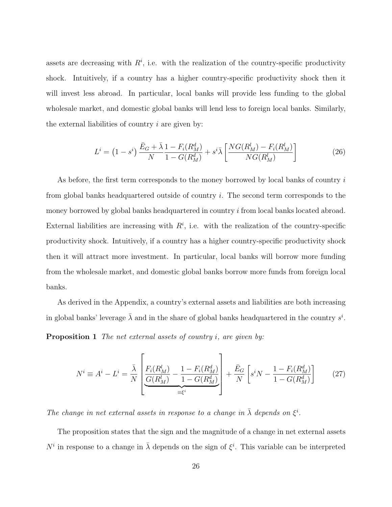assets are decreasing with  $R^i$ , i.e. with the realization of the country-specific productivity shock. Intuitively, if a country has a higher country-specific productivity shock then it will invest less abroad. In particular, local banks will provide less funding to the global wholesale market, and domestic global banks will lend less to foreign local banks. Similarly, the external liabilities of country  $i$  are given by:

$$
L^{i} = (1 - s^{i}) \frac{\bar{E}_{G} + \bar{\lambda}}{N} \frac{1 - F_{i}(R_{M}^{d})}{1 - G(R_{M}^{d})} + s^{i} \bar{\lambda} \left[ \frac{NG(R_{M}^{l}) - F_{i}(R_{M}^{l})}{NG(R_{M}^{l})} \right]
$$
(26)

As before, the first term corresponds to the money borrowed by local banks of country  $i$ from global banks headquartered outside of country i. The second term corresponds to the money borrowed by global banks headquartered in country i from local banks located abroad. External liabilities are increasing with  $R<sup>i</sup>$ , i.e. with the realization of the country-specific productivity shock. Intuitively, if a country has a higher country-specific productivity shock then it will attract more investment. In particular, local banks will borrow more funding from the wholesale market, and domestic global banks borrow more funds from foreign local banks.

As derived in the Appendix, a country's external assets and liabilities are both increasing in global banks' leverage  $\bar{\lambda}$  and in the share of global banks headquartered in the country  $s^i$ .

**Proposition 1** The net external assets of country i, are given by:

$$
N^{i} \equiv A^{i} - L^{i} = \frac{\bar{\lambda}}{N} \left[ \frac{F_{i}(R_{M}^{l})}{\frac{G(R_{M}^{l})}{\bar{\mu}} - \frac{1 - F_{i}(R_{M}^{d})}{1 - G(R_{M}^{d})}} \right] + \frac{\bar{E}_{G}}{N} \left[ s^{i}N - \frac{1 - F_{i}(R_{M}^{d})}{1 - G(R_{M}^{d})} \right] \tag{27}
$$

The change in net external assets in response to a change in  $\bar{\lambda}$  depends on  $\xi^i$ .

The proposition states that the sign and the magnitude of a change in net external assets  $N^i$  in response to a change in  $\bar{\lambda}$  depends on the sign of  $\xi^i$ . This variable can be interpreted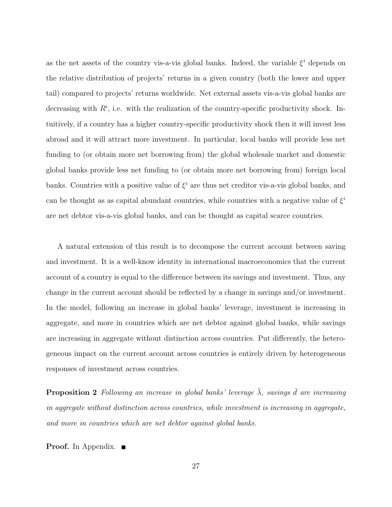as the net assets of the country vis-a-vis global banks. Indeed, the variable  $\xi^i$  depends on the relative distribution of projects' returns in a given country (both the lower and upper tail) compared to projects' returns worldwide. Net external assets vis-a-vis global banks are decreasing with  $R^i$ , i.e. with the realization of the country-specific productivity shock. Intuitively, if a country has a higher country-specific productivity shock then it will invest less abroad and it will attract more investment. In particular, local banks will provide less net funding to (or obtain more net borrowing from) the global wholesale market and domestic global banks provide less net funding to (or obtain more net borrowing from) foreign local banks. Countries with a positive value of  $\xi^i$  are thus net creditor vis-a-vis global banks, and can be thought as as capital abundant countries, while countries with a negative value of  $\xi^i$ are net debtor vis-a-vis global banks, and can be thought as capital scarce countries.

A natural extension of this result is to decompose the current account between saving and investment. It is a well-know identity in international macroeconomics that the current account of a country is equal to the difference between its savings and investment. Thus, any change in the current account should be reflected by a change in savings and/or investment. In the model, following an increase in global banks' leverage, investment is increasing in aggregate, and more in countries which are net debtor against global banks, while savings are increasing in aggregate without distinction across countries. Put differently, the heterogeneous impact on the current account across countries is entirely driven by heterogeneous responses of investment across countries.

**Proposition 2** Following an increase in global banks' leverage  $\bar{\lambda}$ , savings  $\bar{d}$  are increasing in aggregate without distinction across countries, while investment is increasing in aggregate, and more in countries which are net debtor against global banks.

**Proof.** In Appendix. ■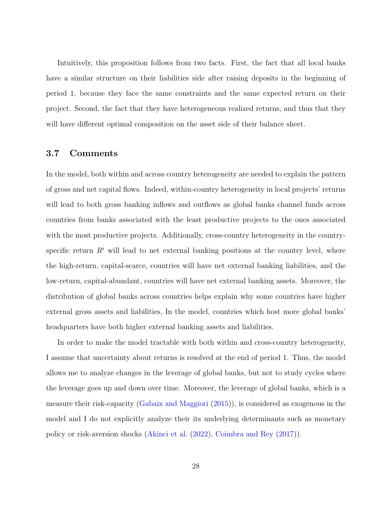Intuitively, this proposition follows from two facts. First, the fact that all local banks have a similar structure on their liabilities side after raising deposits in the beginning of period 1, because they face the same constraints and the same expected return on their project. Second, the fact that they have heterogeneous realized returns, and thus that they will have different optimal composition on the asset side of their balance sheet.

### 3.7 Comments

In the model, both within and across country heterogeneity are needed to explain the pattern of gross and net capital flows. Indeed, within-country heterogeneity in local projects' returns will lead to both gross banking inflows and outflows as global banks channel funds across countries from banks associated with the least productive projects to the ones associated with the most productive projects. Additionally, cross-country heterogeneity in the countryspecific return  $R<sup>i</sup>$  will lead to net external banking positions at the country level, where the high-return, capital-scarce, countries will have net external banking liabilities, and the low-return, capital-abundant, countries will have net external banking assets. Moreover, the distribution of global banks across countries helps explain why some countries have higher external gross assets and liabilities, In the model, countries which host more global banks' headquarters have both higher external banking assets and liabilities.

In order to make the model tractable with both within and cross-country heterogeneity, I assume that uncertainty about returns is resolved at the end of period 1. Thus, the model allows me to analyze changes in the leverage of global banks, but not to study cycles where the leverage goes up and down over time. Moreover, the leverage of global banks, which is a measure their risk-capacity [\(Gabaix and Maggiori](#page-73-0) [\(2015\)](#page-73-0)), is considered as exogenous in the model and I do not explicitly analyze their its underlying determinants such as monetary policy or risk-aversion shocks [\(Akinci et al.](#page-72-4) [\(2022\)](#page-72-4), [Coimbra and Rey](#page-73-4) [\(2017\)](#page-73-4)).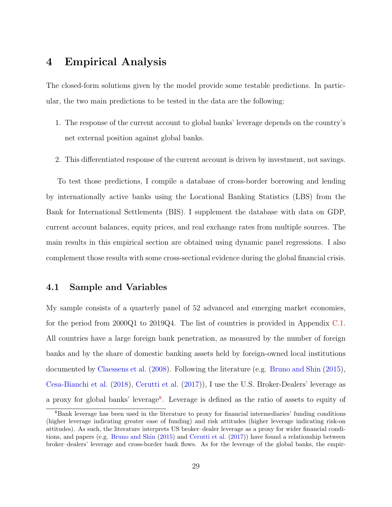## 4 Empirical Analysis

The closed-form solutions given by the model provide some testable predictions. In particular, the two main predictions to be tested in the data are the following:

- 1. The response of the current account to global banks' leverage depends on the country's net external position against global banks.
- 2. This differentiated response of the current account is driven by investment, not savings.

To test those predictions, I compile a database of cross-border borrowing and lending by internationally active banks using the Locational Banking Statistics (LBS) from the Bank for International Settlements (BIS). I supplement the database with data on GDP, current account balances, equity prices, and real exchange rates from multiple sources. The main results in this empirical section are obtained using dynamic panel regressions. I also complement those results with some cross-sectional evidence during the global financial crisis.

#### 4.1 Sample and Variables

My sample consists of a quarterly panel of 52 advanced and emerging market economies, for the period from 2000Q1 to 2019Q4. The list of countries is provided in Appendix [C.1.](#page-55-0) All countries have a large foreign bank penetration, as measured by the number of foreign banks and by the share of domestic banking assets held by foreign-owned local institutions documented by [Claessens et al.](#page-73-9) [\(2008\)](#page-73-9). Following the literature (e.g. [Bruno and Shin](#page-72-0) [\(2015\)](#page-72-0), [Cesa-Bianchi et al.](#page-72-2) [\(2018\)](#page-72-2), [Cerutti et al.](#page-72-1) [\(2017\)](#page-72-1)), I use the U.S. Broker-Dealers' leverage as a proxy for global banks' leverage<sup>[8](#page-29-0)</sup>. Leverage is defined as the ratio of assets to equity of

<span id="page-29-0"></span><sup>8</sup>Bank leverage has been used in the literature to proxy for financial intermediaries' funding conditions (higher leverage indicating greater ease of funding) and risk attitudes (higher leverage indicating risk-on attitudes). As such, the literature interprets US broker–dealer leverage as a proxy for wider financial conditions, and papers (e.g. [Bruno and Shin](#page-72-0) [\(2015\)](#page-72-0) and [Cerutti et al.](#page-72-1) [\(2017\)](#page-72-1)) have found a relationship between broker–dealers' leverage and cross-border bank flows. As for the leverage of the global banks, the empir-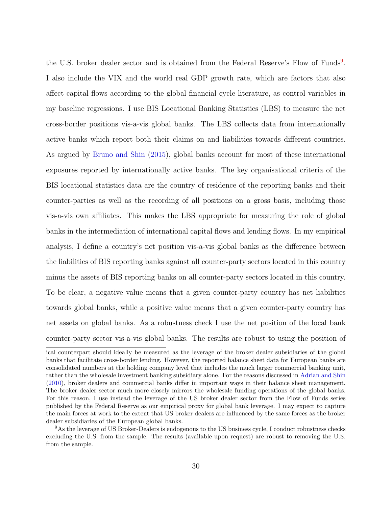the U.S. broker dealer sector and is obtained from the Federal Reserve's Flow of Funds<sup>[9](#page-30-0)</sup>. I also include the VIX and the world real GDP growth rate, which are factors that also affect capital flows according to the global financial cycle literature, as control variables in my baseline regressions. I use BIS Locational Banking Statistics (LBS) to measure the net cross-border positions vis-a-vis global banks. The LBS collects data from internationally active banks which report both their claims on and liabilities towards different countries. As argued by [Bruno and Shin](#page-72-0) [\(2015\)](#page-72-0), global banks account for most of these international exposures reported by internationally active banks. The key organisational criteria of the BIS locational statistics data are the country of residence of the reporting banks and their counter-parties as well as the recording of all positions on a gross basis, including those vis-a-vis own affiliates. This makes the LBS appropriate for measuring the role of global banks in the intermediation of international capital flows and lending flows. In my empirical analysis, I define a country's net position vis-a-vis global banks as the difference between the liabilities of BIS reporting banks against all counter-party sectors located in this country minus the assets of BIS reporting banks on all counter-party sectors located in this country. To be clear, a negative value means that a given counter-party country has net liabilities towards global banks, while a positive value means that a given counter-party country has net assets on global banks. As a robustness check I use the net position of the local bank counter-party sector vis-a-vis global banks. The results are robust to using the position of

ical counterpart should ideally be measured as the leverage of the broker dealer subsidiaries of the global banks that facilitate cross-border lending. However, the reported balance sheet data for European banks are consolidated numbers at the holding company level that includes the much larger commercial banking unit, rather than the wholesale investment banking subsidiary alone. For the reasons discussed in [Adrian and Shin](#page-72-10) [\(2010\)](#page-72-10), broker dealers and commercial banks differ in important ways in their balance sheet management. The broker dealer sector much more closely mirrors the wholesale funding operations of the global banks. For this reason, I use instead the leverage of the US broker dealer sector from the Flow of Funds series published by the Federal Reserve as our empirical proxy for global bank leverage. I may expect to capture the main forces at work to the extent that US broker dealers are influenced by the same forces as the broker dealer subsidiaries of the European global banks.

<span id="page-30-0"></span><sup>&</sup>lt;sup>9</sup>As the leverage of US Broker-Dealers is endogenous to the US business cycle, I conduct robustness checks excluding the U.S. from the sample. The results (available upon request) are robust to removing the U.S. from the sample.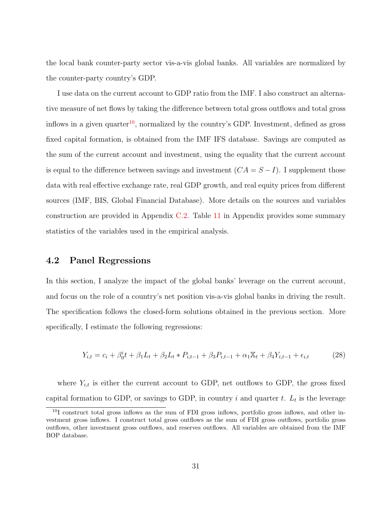the local bank counter-party sector vis-a-vis global banks. All variables are normalized by the counter-party country's GDP.

I use data on the current account to GDP ratio from the IMF. I also construct an alternative measure of net flows by taking the difference between total gross outflows and total gross inflows in a given quarter<sup>[10](#page-31-0)</sup>, normalized by the country's GDP. Investment, defined as gross fixed capital formation, is obtained from the IMF IFS database. Savings are computed as the sum of the current account and investment, using the equality that the current account is equal to the difference between savings and investment  $(CA = S - I)$ . I supplement those data with real effective exchange rate, real GDP growth, and real equity prices from different sources (IMF, BIS, Global Financial Database). More details on the sources and variables construction are provided in Appendix [C.2.](#page-57-0) Table [11](#page-59-0) in Appendix provides some summary statistics of the variables used in the empirical analysis.

## 4.2 Panel Regressions

In this section, I analyze the impact of the global banks' leverage on the current account, and focus on the role of a country's net position vis-a-vis global banks in driving the result. The specification follows the closed-form solutions obtained in the previous section. More specifically, I estimate the following regressions:

$$
Y_{i,t} = c_i + \beta_0^i t + \beta_1 L_t + \beta_2 L_t * P_{i,t-1} + \beta_3 P_{i,t-1} + \alpha_1 X_t + \beta_4 Y_{i,t-1} + \epsilon_{i,t}
$$
(28)

where  $Y_{i,t}$  is either the current account to GDP, net outflows to GDP, the gross fixed capital formation to GDP, or savings to GDP, in country i and quarter t.  $L_t$  is the leverage

<span id="page-31-0"></span> $10I$  construct total gross inflows as the sum of FDI gross inflows, portfolio gross inflows, and other investment gross inflows. I construct total gross outflows as the sum of FDI gross outflows, portfolio gross outflows, other investment gross outflows, and reserves outflows. All variables are obtained from the IMF BOP database.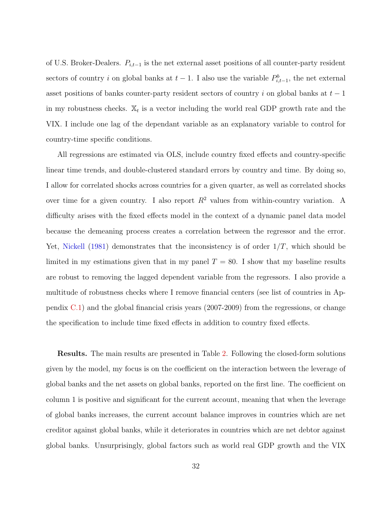of U.S. Broker-Dealers.  $P_{i,t-1}$  is the net external asset positions of all counter-party resident sectors of country i on global banks at  $t-1$ . I also use the variable  $P_{i,t-1}^b$ , the net external asset positions of banks counter-party resident sectors of country i on global banks at  $t-1$ in my robustness checks.  $\mathbb{X}_t$  is a vector including the world real GDP growth rate and the VIX. I include one lag of the dependant variable as an explanatory variable to control for country-time specific conditions.

All regressions are estimated via OLS, include country fixed effects and country-specific linear time trends, and double-clustered standard errors by country and time. By doing so, I allow for correlated shocks across countries for a given quarter, as well as correlated shocks over time for a given country. I also report  $R^2$  values from within-country variation. A difficulty arises with the fixed effects model in the context of a dynamic panel data model because the demeaning process creates a correlation between the regressor and the error. Yet, [Nickell](#page-74-4) [\(1981\)](#page-74-4) demonstrates that the inconsistency is of order  $1/T$ , which should be limited in my estimations given that in my panel  $T = 80$ . I show that my baseline results are robust to removing the lagged dependent variable from the regressors. I also provide a multitude of robustness checks where I remove financial centers (see list of countries in Appendix [C.1\)](#page-55-0) and the global financial crisis years (2007-2009) from the regressions, or change the specification to include time fixed effects in addition to country fixed effects.

Results. The main results are presented in Table [2.](#page-33-0) Following the closed-form solutions given by the model, my focus is on the coefficient on the interaction between the leverage of global banks and the net assets on global banks, reported on the first line. The coefficient on column 1 is positive and significant for the current account, meaning that when the leverage of global banks increases, the current account balance improves in countries which are net creditor against global banks, while it deteriorates in countries which are net debtor against global banks. Unsurprisingly, global factors such as world real GDP growth and the VIX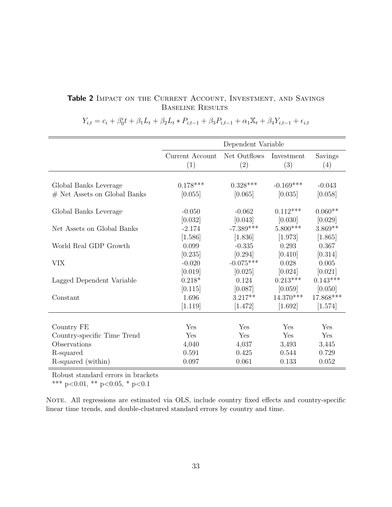## <span id="page-33-0"></span>Table 2 IMPACT ON THE CURRENT ACCOUNT, INVESTMENT, AND SAVINGS Baseline Results

|                                | Dependent Variable     |                     |                   |                |
|--------------------------------|------------------------|---------------------|-------------------|----------------|
|                                | Current Account<br>(1) | Net Outflows<br>(2) | Investment<br>(3) | Savings<br>(4) |
| Global Banks Leverage          | $0.178***$             | $0.328***$          | $-0.169***$       | $-0.043$       |
| $#$ Net Assets on Global Banks | [0.055]                | [0.065]             | [0.035]           | [0.058]        |
| Global Banks Leverage          | $-0.050$               | $-0.062$            | $0.112***$        | $0.060**$      |
|                                | [0.032]                | [0.043]             | [0.030]           | [0.029]        |
| Net Assets on Global Banks     | $-2.174$               | $-7.389***$         | $5.800***$        | $3.869**$      |
|                                | [1.586]                | [1.836]             | [1.973]           | [1.865]        |
| World Real GDP Growth          | 0.099                  | $-0.335$            | 0.293             | 0.367          |
|                                | [0.235]                | [0.294]             | [0.410]           | [0.314]        |
| <b>VIX</b>                     | $-0.020$               | $-0.075***$         | 0.028             | 0.005          |
|                                | [0.019]                | [0.025]             | [0.024]           | [0.021]        |
| Lagged Dependent Variable      | $0.218*$               | 0.124               | $0.213***$        | $0.143***$     |
|                                | [0.115]                | [0.087]             | [0.059]           | [0.050]        |
| Constant                       | 1.696                  | $3.217**$           | $14.370***$       | 17.868***      |
|                                | [1.119]                | [1.472]             | [1.692]           | [1.574]        |
|                                |                        |                     |                   |                |
| Country FE                     | Yes                    | Yes                 | Yes               | Yes            |
| Country-specific Time Trend    | Yes                    | Yes                 | Yes               | Yes            |
| Observations                   | 4,040                  | 4,037               | 3,493             | 3,445          |
| R-squared                      | 0.591                  | 0.425               | 0.544             | 0.729          |
| R-squared (within)             | 0.097                  | 0.061               | 0.133             | 0.052          |

 $Y_{i,t} = c_i + \beta_0^i t + \beta_1 L_t + \beta_2 L_t * P_{i,t-1} + \beta_3 P_{i,t-1} + \alpha_1 X_t + \beta_4 Y_{i,t-1} + \epsilon_{i,t}$ 

Robust standard errors in brackets

\*\*\* p<0.01, \*\* p<0.05, \* p<0.1

NOTE. All regressions are estimated via OLS, include country fixed effects and country-specific linear time trends, and double-clustured standard errors by country and time.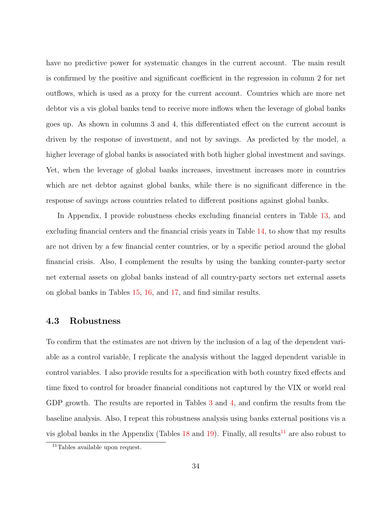have no predictive power for systematic changes in the current account. The main result is confirmed by the positive and significant coefficient in the regression in column 2 for net outflows, which is used as a proxy for the current account. Countries which are more net debtor vis a vis global banks tend to receive more inflows when the leverage of global banks goes up. As shown in columns 3 and 4, this differentiated effect on the current account is driven by the response of investment, and not by savings. As predicted by the model, a higher leverage of global banks is associated with both higher global investment and savings. Yet, when the leverage of global banks increases, investment increases more in countries which are net debtor against global banks, while there is no significant difference in the response of savings across countries related to different positions against global banks.

In Appendix, I provide robustness checks excluding financial centers in Table [13,](#page-61-0) and excluding financial centers and the financial crisis years in Table [14,](#page-62-0) to show that my results are not driven by a few financial center countries, or by a specific period around the global financial crisis. Also, I complement the results by using the banking counter-party sector net external assets on global banks instead of all country-party sectors net external assets on global banks in Tables [15,](#page-63-0) [16,](#page-64-0) and [17,](#page-65-0) and find similar results.

## 4.3 Robustness

To confirm that the estimates are not driven by the inclusion of a lag of the dependent variable as a control variable, I replicate the analysis without the lagged dependent variable in control variables. I also provide results for a specification with both country fixed effects and time fixed to control for broader financial conditions not captured by the VIX or world real GDP growth. The results are reported in Tables [3](#page-35-0) and [4,](#page-36-0) and confirm the results from the baseline analysis. Also, I repeat this robustness analysis using banks external positions vis a vis global banks in the Appendix (Tables  $18$  and  $19$ ). Finally, all results<sup>[11](#page-34-0)</sup> are also robust to

<span id="page-34-0"></span><sup>11</sup>Tables available upon request.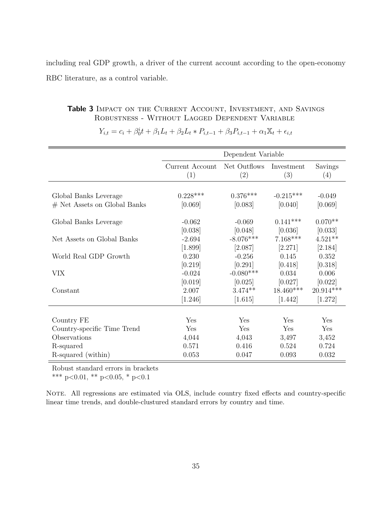including real GDP growth, a driver of the current account according to the open-economy RBC literature, as a control variable.

## <span id="page-35-0"></span>Table 3 IMPACT ON THE CURRENT ACCOUNT, INVESTMENT, AND SAVINGS Robustness - Without Lagged Dependent Variable

|                                | Dependent Variable     |                     |                   |                |
|--------------------------------|------------------------|---------------------|-------------------|----------------|
|                                | Current Account<br>(1) | Net Outflows<br>(2) | Investment<br>(3) | Savings<br>(4) |
|                                |                        |                     |                   |                |
| Global Banks Leverage          | $0.228***$             | $0.376***$          | $-0.215***$       | $-0.049$       |
| $#$ Net Assets on Global Banks | [0.069]                | [0.083]             | [0.040]           | [0.069]        |
|                                |                        |                     |                   |                |
| Global Banks Leverage          | $-0.062$               | $-0.069$            | $0.141***$        | $0.070**$      |
|                                | [0.038]                | [0.048]             | [0.036]           | [0.033]        |
| Net Assets on Global Banks     | $-2.694$               | $-8.076***$         | $7.168***$        | $4.521**$      |
|                                | [1.899]                | [2.087]             | [2.271]           | [2.184]        |
| World Real GDP Growth          | 0.230                  | $-0.256$            | 0.145             | 0.352          |
|                                | [0.219]                | [0.291]             | [0.418]           | [0.318]        |
| <b>VIX</b>                     | $-0.024$               | $-0.080***$         | 0.034             | 0.006          |
|                                | [0.019]                | [0.025]             | [0.027]           | [0.022]        |
| Constant                       | 2.007                  | $3.474**$           | 18.460***         | $20.914***$    |
|                                | [1.246]                | [1.615]             | [1.442]           | [1.272]        |
|                                |                        |                     |                   |                |
| Country FE                     | Yes                    | Yes                 | Yes               | Yes            |
| Country-specific Time Trend    | Yes                    | Yes                 | Yes               | Yes            |
| Observations                   | 4,044                  | 4,043               | 3,497             | 3,452          |
| R-squared                      | 0.571                  | 0.416               | 0.524             | 0.724          |
| R-squared (within)             | 0.053                  | 0.047               | 0.093             | 0.032          |

 $Y_{i,t} = c_i + \beta_0^i t + \beta_1 L_t + \beta_2 L_t * P_{i,t-1} + \beta_3 P_{i,t-1} + \alpha_1 X_t + \epsilon_{i,t}$ 

Robust standard errors in brackets

\*\*\* p<0.01, \*\* p<0.05, \* p<0.1

NOTE. All regressions are estimated via OLS, include country fixed effects and country-specific linear time trends, and double-clustured standard errors by country and time.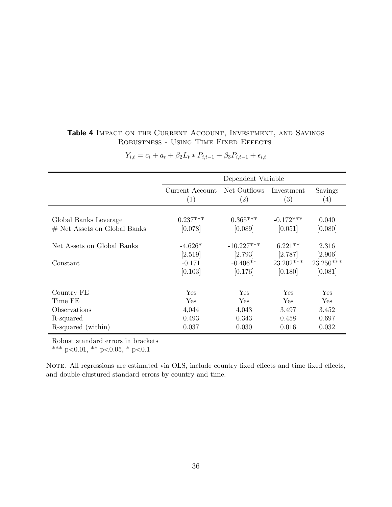### Table 4 IMPACT ON THE CURRENT ACCOUNT, INVESTMENT, AND SAVINGS ROBUSTNESS - USING TIME FIXED EFFECTS

|                                |                                                                    | Dependent Variable |                |             |
|--------------------------------|--------------------------------------------------------------------|--------------------|----------------|-------------|
|                                | Current Account<br>Net Outflows<br>Investment<br>(3)<br>(2)<br>(1) |                    | Savings<br>(4) |             |
|                                |                                                                    |                    |                |             |
| Global Banks Leverage          | $0.237***$                                                         | $0.365***$         | $-0.172***$    | 0.040       |
| $#$ Net Assets on Global Banks | [0.078]                                                            | [0.089]            | [0.051]        | [0.080]     |
| Net Assets on Global Banks     | $-4.626*$                                                          | $-10.227***$       | $6.221**$      | 2.316       |
|                                | [2.519]                                                            | $[2.793]$          | [2.787]        | [2.906]     |
| Constant                       | $-0.171$                                                           | $-0.406**$         | $23.202***$    | $23.250***$ |
|                                | [0.103]                                                            | [0.176]            | [0.180]        | [0.081]     |
|                                |                                                                    |                    |                |             |
| Country FE                     | Yes                                                                | Yes                | Yes            | Yes         |
| Time FE                        | Yes                                                                | Yes                | Yes            | Yes         |
| Observations                   | 4,044                                                              | 4,043              | 3,497          | 3,452       |
| R-squared                      | 0.493                                                              | 0.343              | 0.458          | 0.697       |
| R-squared (within)             | 0.037                                                              | 0.030              | 0.016          | 0.032       |

 $Y_{i,t} = c_i + a_t + \beta_2 L_t * P_{i,t-1} + \beta_3 P_{i,t-1} + \epsilon_{i,t}$ 

Robust standard errors in brackets

\*\*\* p<0.01, \*\* p<0.05, \* p<0.1

NOTE. All regressions are estimated via OLS, include country fixed effects and time fixed effects, and double-clustured standard errors by country and time.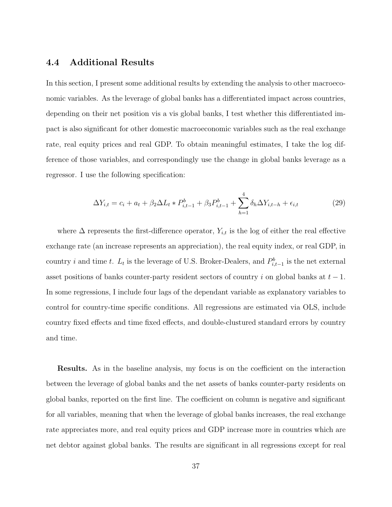### 4.4 Additional Results

In this section, I present some additional results by extending the analysis to other macroeconomic variables. As the leverage of global banks has a differentiated impact across countries, depending on their net position vis a vis global banks, I test whether this differentiated impact is also significant for other domestic macroeconomic variables such as the real exchange rate, real equity prices and real GDP. To obtain meaningful estimates, I take the log difference of those variables, and correspondingly use the change in global banks leverage as a regressor. I use the following specification:

$$
\Delta Y_{i,t} = c_i + a_t + \beta_2 \Delta L_t * P_{i,t-1}^b + \beta_3 P_{i,t-1}^b + \sum_{h=1}^4 \delta_h \Delta Y_{i,t-h} + \epsilon_{i,t}
$$
\n(29)

where  $\Delta$  represents the first-difference operator,  $Y_{i,t}$  is the log of either the real effective exchange rate (an increase represents an appreciation), the real equity index, or real GDP, in country *i* and time t.  $L_t$  is the leverage of U.S. Broker-Dealers, and  $P_{i,t-1}^b$  is the net external asset positions of banks counter-party resident sectors of country i on global banks at  $t - 1$ . In some regressions, I include four lags of the dependant variable as explanatory variables to control for country-time specific conditions. All regressions are estimated via OLS, include country fixed effects and time fixed effects, and double-clustured standard errors by country and time.

Results. As in the baseline analysis, my focus is on the coefficient on the interaction between the leverage of global banks and the net assets of banks counter-party residents on global banks, reported on the first line. The coefficient on column is negative and significant for all variables, meaning that when the leverage of global banks increases, the real exchange rate appreciates more, and real equity prices and GDP increase more in countries which are net debtor against global banks. The results are significant in all regressions except for real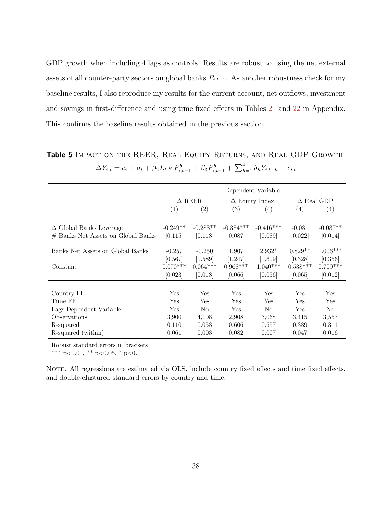GDP growth when including 4 lags as controls. Results are robust to using the net external assets of all counter-party sectors on global banks  $P_{i,t-1}$ . As another robustness check for my baseline results, I also reproduce my results for the current account, net outflows, investment and savings in first-difference and using time fixed effects in Tables [21](#page-69-0) and [22](#page-70-0) in Appendix. This confirms the baseline results obtained in the previous section.

Table 5 IMPACT ON THE REER, REAL EQUITY RETURNS, AND REAL GDP GROWTH  $\Delta Y_{i,t} = c_i + a_t + \beta_2 L_t * P_{i,t-1}^b + \beta_3 P_{i,t-1}^b + \sum_{h=1}^4 \delta_h Y_{i,t-h} + \epsilon_{i,t}$ 

|                                    | Dependent Variable |                   |                       |                |                   |                |
|------------------------------------|--------------------|-------------------|-----------------------|----------------|-------------------|----------------|
|                                    | $\Delta$ REER      |                   | $\Delta$ Equity Index |                | $\Delta$ Real GDP |                |
|                                    | (1)                | $\left( 2\right)$ | (3)                   | (4)            | (4)               | (4)            |
|                                    |                    |                   |                       |                |                   |                |
| $\Delta$ Global Banks Leverage     | $-0.249**$         | $-0.283**$        | $-0.384***$           | $-0.416***$    | $-0.031$          | $-0.037**$     |
| # Banks Net Assets on Global Banks | [0.115]            | [0.118]           | [0.087]               | [0.089]        | [0.022]           | [0.014]        |
|                                    |                    |                   |                       |                |                   |                |
| Banks Net Assets on Global Banks   | $-0.257$           | $-0.250$          | 1.907                 | $2.932*$       | $0.829**$         | $1.006***$     |
|                                    | [0.567]            | [0.589]           | [1.247]               | $[1.609]$      | [0.328]           | [0.356]        |
| Constant                           | $0.070***$         | $0.064***$        | $0.968***$            | $1.040***$     | $0.538***$        | $0.709***$     |
|                                    | [0.023]            | [0.018]           | [0.066]               | [0.056]        | [0.065]           | [0.012]        |
|                                    |                    |                   |                       |                |                   |                |
| Country FE                         | Yes                | <b>Yes</b>        | Yes                   | <b>Yes</b>     | Yes               | <b>Yes</b>     |
| Time FE                            | Yes                | Yes               | Yes                   | Yes            | Yes               | Yes            |
| Lags Dependent Variable            | Yes                | N <sub>o</sub>    | Yes                   | N <sub>o</sub> | Yes               | N <sub>o</sub> |
| Observations                       | 3,900              | 4,108             | 2,908                 | 3,068          | 3,415             | 3,557          |
| R-squared                          | 0.110              | 0.053             | 0.606                 | 0.557          | 0.339             | 0.311          |
| R-squared (within)                 | 0.061              | 0.003             | 0.082                 | 0.007          | 0.047             | 0.016          |

Robust standard errors in brackets

\*\*\* p<0.01, \*\* p<0.05, \* p<0.1

NOTE. All regressions are estimated via OLS, include country fixed effects and time fixed effects, and double-clustured standard errors by country and time.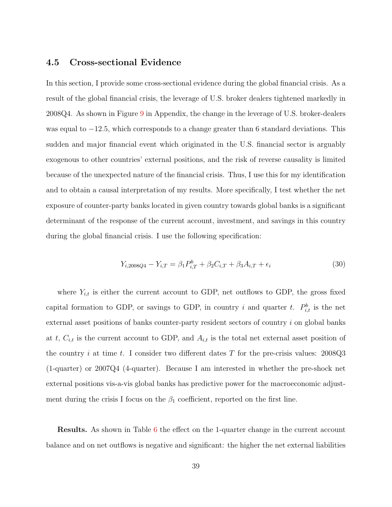### 4.5 Cross-sectional Evidence

In this section, I provide some cross-sectional evidence during the global financial crisis. As a result of the global financial crisis, the leverage of U.S. broker dealers tightened markedly in 2008Q4. As shown in Figure [9](#page-45-0) in Appendix, the change in the leverage of U.S. broker-dealers was equal to  $-12.5$ , which corresponds to a change greater than 6 standard deviations. This sudden and major financial event which originated in the U.S. financial sector is arguably exogenous to other countries' external positions, and the risk of reverse causality is limited because of the unexpected nature of the financial crisis. Thus, I use this for my identification and to obtain a causal interpretation of my results. More specifically, I test whether the net exposure of counter-party banks located in given country towards global banks is a significant determinant of the response of the current account, investment, and savings in this country during the global financial crisis. I use the following specification:

$$
Y_{i,2008Q4} - Y_{i,T} = \beta_1 P_{i,T}^b + \beta_2 C_{i,T} + \beta_3 A_{i,T} + \epsilon_i
$$
\n(30)

where  $Y_{i,t}$  is either the current account to GDP, net outflows to GDP, the gross fixed capital formation to GDP, or savings to GDP, in country i and quarter t.  $P_{i,t}^b$  is the net external asset positions of banks counter-party resident sectors of country i on global banks at t,  $C_{i,t}$  is the current account to GDP, and  $A_{i,t}$  is the total net external asset position of the country i at time t. I consider two different dates T for the pre-crisis values:  $2008Q3$ (1-quarter) or 2007Q4 (4-quarter). Because I am interested in whether the pre-shock net external positions vis-a-vis global banks has predictive power for the macroeconomic adjustment during the crisis I focus on the  $\beta_1$  coefficient, reported on the first line.

**Results.** As shown in Table [6](#page-40-0) the effect on the 1-quarter change in the current account balance and on net outflows is negative and significant: the higher the net external liabilities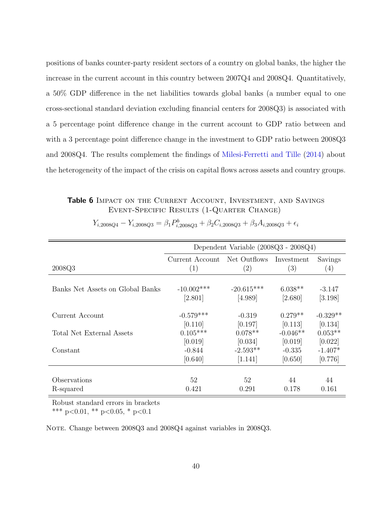positions of banks counter-party resident sectors of a country on global banks, the higher the increase in the current account in this country between 2007Q4 and 2008Q4. Quantitatively, a 50% GDP difference in the net liabilities towards global banks (a number equal to one cross-sectional standard deviation excluding financial centers for 2008Q3) is associated with a 5 percentage point difference change in the current account to GDP ratio between and with a 3 percentage point difference change in the investment to GDP ratio between 2008Q3 and 2008Q4. The results complement the findings of [Milesi-Ferretti and Tille](#page-73-0) [\(2014\)](#page-73-0) about the heterogeneity of the impact of the crisis on capital flows across assets and country groups.

<span id="page-40-0"></span>Table 6 IMPACT ON THE CURRENT ACCOUNT, INVESTMENT, AND SAVINGS Event-Specific Results (1-Quarter Change)

|                                  | Dependent Variable (2008Q3 - 2008Q4)    |                   |                   |            |  |  |
|----------------------------------|-----------------------------------------|-------------------|-------------------|------------|--|--|
|                                  |                                         |                   |                   |            |  |  |
|                                  | Current Account Net Outflows Investment |                   |                   | Savings    |  |  |
| 2008Q3                           | $\left( 1\right)$                       | $\left( 2\right)$ | $\left( 3\right)$ | (4)        |  |  |
|                                  |                                         |                   |                   |            |  |  |
| Banks Net Assets on Global Banks | $-10.002***$                            | $-20.615***$      | $6.038**$         | $-3.147$   |  |  |
|                                  | [2.801]                                 | [4.989]           | [2.680]           | [3.198]    |  |  |
|                                  |                                         |                   |                   |            |  |  |
| Current Account                  | $-0.579***$                             | $-0.319$          | $0.279**$         | $-0.329**$ |  |  |
|                                  | [0.110]                                 | [0.197]           | [0.113]           | [0.134]    |  |  |
| Total Net External Assets        | $0.105***$                              | $0.078**$         | $-0.046**$        | $0.053**$  |  |  |
|                                  | [0.019]                                 | [0.034]           | [0.019]           | [0.022]    |  |  |
| Constant                         | $-0.844$                                | $-2.593**$        | $-0.335$          | $-1.407*$  |  |  |
|                                  | [0.640]                                 | [1.141]           | [0.650]           | [0.776]    |  |  |
|                                  |                                         |                   |                   |            |  |  |
| Observations                     | 52                                      | 52                | 44                | 44         |  |  |
| R-squared                        | 0.421                                   | 0.291             | 0.178             | 0.161      |  |  |

 $Y_{i,2008Q4} - Y_{i,2008Q3} = \beta_1 P_{i,2008Q3}^b + \beta_2 C_{i,2008Q3} + \beta_3 A_{i,2008Q3} + \epsilon_i$ 

Robust standard errors in brackets

\*\*\* p<0.01, \*\* p<0.05, \* p<0.1

NOTE. Change between 2008Q3 and 2008Q4 against variables in 2008Q3.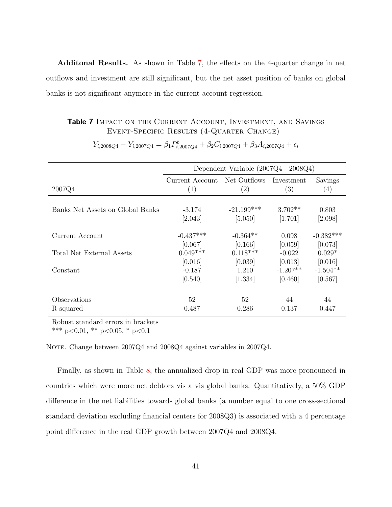Additonal Results. As shown in Table [7,](#page-41-0) the effects on the 4-quarter change in net outflows and investment are still significant, but the net asset position of banks on global banks is not significant anymore in the current account regression.

#### <span id="page-41-0"></span>Table 7 IMPACT ON THE CURRENT ACCOUNT, INVESTMENT, AND SAVINGS Event-Specific Results (4-Quarter Change)

|                                  | Dependent Variable $(2007Q4 - 2008Q4)$ |              |            |             |  |  |
|----------------------------------|----------------------------------------|--------------|------------|-------------|--|--|
|                                  | Current Account                        | Net Outflows | Investment | Savings     |  |  |
| 2007Q4                           | (1)                                    | (2)          | (3)        | (4)         |  |  |
|                                  |                                        |              |            |             |  |  |
| Banks Net Assets on Global Banks | $-3.174$                               | $-21.199***$ | $3.702**$  | 0.803       |  |  |
|                                  | [2.043]                                | [5.050]      | [1.701]    | [2.098]     |  |  |
|                                  |                                        |              |            |             |  |  |
| Current Account                  | $-0.437***$                            | $-0.364**$   | 0.098      | $-0.382***$ |  |  |
|                                  | [0.067]                                | [0.166]      | [0.059]    | [0.073]     |  |  |
| Total Net External Assets        | $0.049***$                             | $0.118***$   | $-0.022$   | $0.029*$    |  |  |
|                                  | [0.016]                                | [0.039]      | [0.013]    | [0.016]     |  |  |
| Constant                         | $-0.187$                               | 1.210        | $-1.207**$ | $-1.504**$  |  |  |
|                                  | [0.540]                                | [1.334]      | [0.460]    | [0.567]     |  |  |
|                                  |                                        |              |            |             |  |  |
| Observations                     | 52                                     | 52           | 44         | 44          |  |  |
| R-squared                        | 0.487                                  | 0.286        | 0.137      | 0.447       |  |  |

 $Y_{i,2008Q4} - Y_{i,2007Q4} = \beta_1 P_{i,2007Q4}^b + \beta_2 C_{i,2007Q4} + \beta_3 A_{i,2007Q4} + \epsilon_i$ 

Robust standard errors in brackets

\*\*\* p<0.01, \*\* p<0.05, \* p<0.1

NOTE. Change between 2007Q4 and 2008Q4 against variables in 2007Q4.

Finally, as shown in Table [8,](#page-42-0) the annualized drop in real GDP was more pronounced in countries which were more net debtors vis a vis global banks. Quantitatively, a 50% GDP difference in the net liabilities towards global banks (a number equal to one cross-sectional standard deviation excluding financial centers for 2008Q3) is associated with a 4 percentage point difference in the real GDP growth between 2007Q4 and 2008Q4.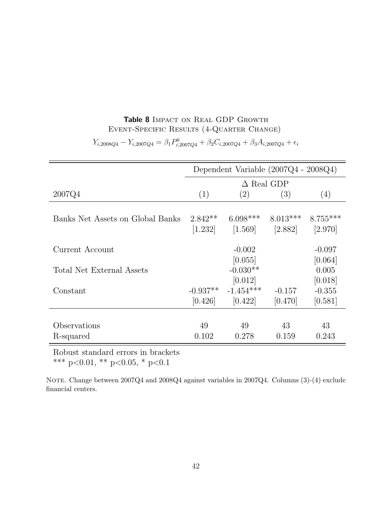### Table 8 IMPACT ON REAL GDP GROWTH Event-Specific Results (4-Quarter Change)

<span id="page-42-0"></span>

|                                  | Dependent Variable $(2007Q4 - 2008Q4)$ |                      |            |            |  |  |  |
|----------------------------------|----------------------------------------|----------------------|------------|------------|--|--|--|
|                                  | $\Delta$ Real GDP                      |                      |            |            |  |  |  |
| 2007Q4                           | (1)                                    | (2)                  | (3)        | (4)        |  |  |  |
|                                  |                                        |                      |            |            |  |  |  |
| Banks Net Assets on Global Banks | $2.842**$                              | $6.098***$           | $8.013***$ | $8.755***$ |  |  |  |
|                                  | [1.232]                                | $\left[1.569\right]$ | $[2.882]$  | [2.970]    |  |  |  |
| Current Account                  |                                        | $-0.002$             |            | $-0.097$   |  |  |  |
|                                  |                                        | [0.055]              |            | [0.064]    |  |  |  |
| Total Net External Assets        |                                        | $-0.030**$           |            | 0.005      |  |  |  |
|                                  |                                        | [0.012]              |            | [0.018]    |  |  |  |
| Constant                         | $-0.937**$                             | $-1.454***$          | $-0.157$   | $-0.355$   |  |  |  |
|                                  | [0.426]                                | [0.422]              | [0.470]    | [0.581]    |  |  |  |
|                                  |                                        |                      |            |            |  |  |  |
| Observations                     | 49                                     | 49                   | 43         | 43         |  |  |  |
| R-squared                        | 0.102                                  | 0.278                | 0.159      | 0.243      |  |  |  |

 $Y_{i,2008Q4} - Y_{i,2007Q4} = \beta_1 P_{i,2007Q4}^b + \beta_2 C_{i,2007Q4} + \beta_3 A_{i,2007Q4} + \epsilon_i$ 

Robust standard errors in brackets

\*\*\* p<0.01, \*\* p<0.05, \* p<0.1

NOTE. Change between 2007Q4 and 2008Q4 against variables in 2007Q4. Columns (3)-(4) exclude financial centers.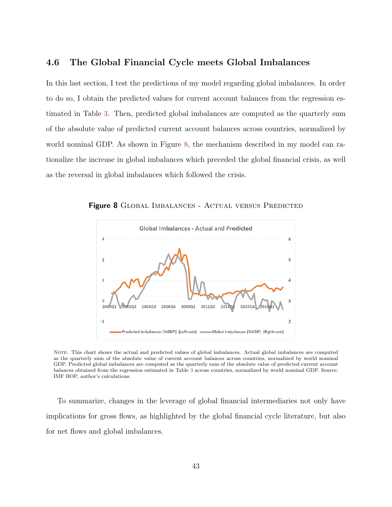### 4.6 The Global Financial Cycle meets Global Imbalances

In this last section, I test the predictions of my model regarding global imbalances. In order to do so, I obtain the predicted values for current account balances from the regression estimated in Table [3.](#page-35-0) Then, predicted global imbalances are computed as the quarterly sum of the absolute value of predicted current account balances across countries, normalized by world nominal GDP. As shown in Figure [8,](#page-43-0) the mechanism described in my model can rationalize the increase in global imbalances which preceded the global financial crisis, as well as the reversal in global imbalances which followed the crisis.

<span id="page-43-0"></span>

Figure 8 GLOBAL IMBALANCES - ACTUAL VERSUS PREDICTED

Note. This chart shows the actual and predicted values of global imbalances. Actual global imbalances are computed as the quarterly sum of the absolute value of current account balances across countries, normalized by world nominal GDP. Predicted global imbalances are computed as the quarterly sum of the absolute value of predicted current account balances obtained from the regression estimated in Table [3](#page-35-0) across countries, normalized by world nominal GDP. Source: IMF BOP, author's calculations.

To summarize, changes in the leverage of global financial intermediaries not only have implications for gross flows, as highlighted by the global financial cycle literature, but also for net flows and global imbalances.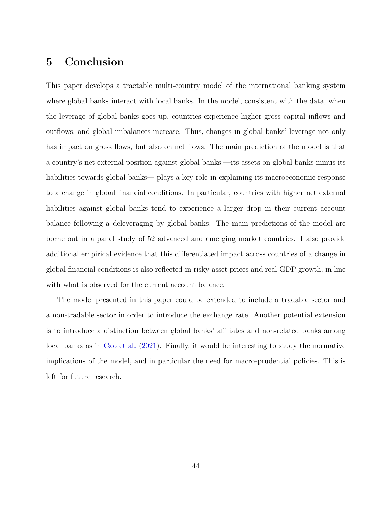### 5 Conclusion

This paper develops a tractable multi-country model of the international banking system where global banks interact with local banks. In the model, consistent with the data, when the leverage of global banks goes up, countries experience higher gross capital inflows and outflows, and global imbalances increase. Thus, changes in global banks' leverage not only has impact on gross flows, but also on net flows. The main prediction of the model is that a country's net external position against global banks —its assets on global banks minus its liabilities towards global banks— plays a key role in explaining its macroeconomic response to a change in global financial conditions. In particular, countries with higher net external liabilities against global banks tend to experience a larger drop in their current account balance following a deleveraging by global banks. The main predictions of the model are borne out in a panel study of 52 advanced and emerging market countries. I also provide additional empirical evidence that this differentiated impact across countries of a change in global financial conditions is also reflected in risky asset prices and real GDP growth, in line with what is observed for the current account balance.

The model presented in this paper could be extended to include a tradable sector and a non-tradable sector in order to introduce the exchange rate. Another potential extension is to introduce a distinction between global banks' affiliates and non-related banks among local banks as in [Cao et al.](#page-72-0) [\(2021\)](#page-72-0). Finally, it would be interesting to study the normative implications of the model, and in particular the need for macro-prudential policies. This is left for future research.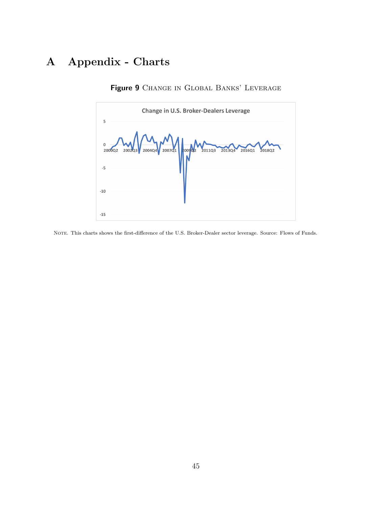# <span id="page-45-0"></span>A Appendix - Charts



Figure 9 CHANGE IN GLOBAL BANKS' LEVERAGE

Note. This charts shows the first-difference of the U.S. Broker-Dealer sector leverage. Source: Flows of Funds.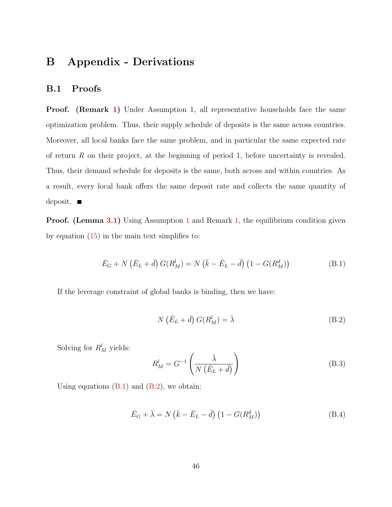## B Appendix - Derivations

### B.1 Proofs

Proof. (Remark [1\)](#page-18-0) Under Assumption 1, all representative households face the same optimization problem. Thus, their supply schedule of deposits is the same across countries. Moreover, all local banks face the same problem, and in particular the same expected rate of return  $R$  on their project, at the beginning of period 1, before uncertainty is revealed. Thus, their demand schedule for deposits is the same, both across and within countries. As a result, every local bank offers the same deposit rate and collects the same quantity of deposit.  $\blacksquare$ 

**Proof.** (Lemma [3.1\)](#page-20-0) Using Assumption [1](#page-18-1) and Remark [1,](#page-18-0) the equilibrium condition given by equation [\(15\)](#page-20-1) in the main text simplifies to:

<span id="page-46-0"></span>
$$
\bar{E}_G + N(\bar{E}_L + \bar{d}) G(R_M^l) = N(\bar{k} - \bar{E}_L - \bar{d}) (1 - G(R_M^d))
$$
 (B.1)

If the leverage constraint of global banks is binding, then we have:

<span id="page-46-1"></span>
$$
N\left(\bar{E}_L + \bar{d}\right)G(R_M^l) = \bar{\lambda}
$$
\n(B.2)

Solving for  $R_M^l$  yields:

<span id="page-46-2"></span>
$$
R_M^l = G^{-1} \left( \frac{\bar{\lambda}}{N \left( \bar{E}_L + \bar{d} \right)} \right) \tag{B.3}
$$

Using equations  $(B.1)$  and  $(B.2)$ , we obtain:

<span id="page-46-3"></span>
$$
\bar{E}_G + \bar{\lambda} = N\left(\bar{k} - \bar{E}_L - \bar{d}\right) \left(1 - G(R_M^d)\right) \tag{B.4}
$$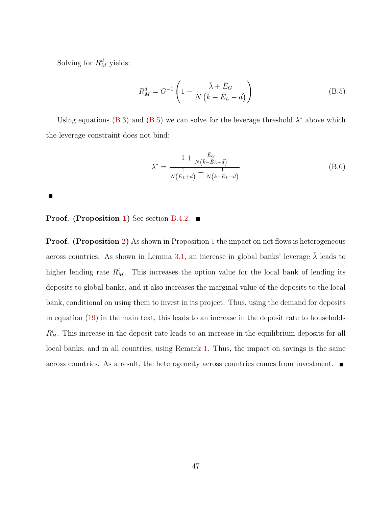Solving for  $R_M^d$  yields:

 $\blacksquare$ 

<span id="page-47-0"></span>
$$
R_M^d = G^{-1} \left( 1 - \frac{\bar{\lambda} + \bar{E}_G}{N \left( \bar{k} - \bar{E}_L - \bar{d} \right)} \right) \tag{B.5}
$$

Using equations [\(B.3\)](#page-46-2) and [\(B.5\)](#page-47-0) we can solve for the leverage threshold  $\lambda^*$  above which the leverage constraint does not bind:

$$
\lambda^* = \frac{1 + \frac{\bar{E}_G}{N(\bar{k} - \bar{E}_L - \bar{d})}}{\frac{1}{N(\bar{E}_L + \bar{d})} + \frac{1}{N(\bar{k} - \bar{E}_L - \bar{d})}}
$$
(B.6)

**Proof.** (Proposition [1\)](#page-26-0) See section [B.4.2.](#page-53-0)

**Proof.** (Proposition [2\)](#page-27-0) As shown in Proposition [1](#page-26-0) the impact on net flows is heterogeneous across countries. As shown in Lemma [3.1,](#page-20-0) an increase in global banks' leverage  $\lambda$  leads to higher lending rate  $R_M^l$ . This increases the option value for the local bank of lending its deposits to global banks, and it also increases the marginal value of the deposits to the local bank, conditional on using them to invest in its project. Thus, using the demand for deposits in equation [\(19\)](#page-22-0) in the main text, this leads to an increase in the deposit rate to households  $R_H^i$ . This increase in the deposit rate leads to an increase in the equilibrium deposits for all local banks, and in all countries, using Remark [1.](#page-18-0) Thus, the impact on savings is the same across countries. As a result, the heterogeneity across countries comes from investment.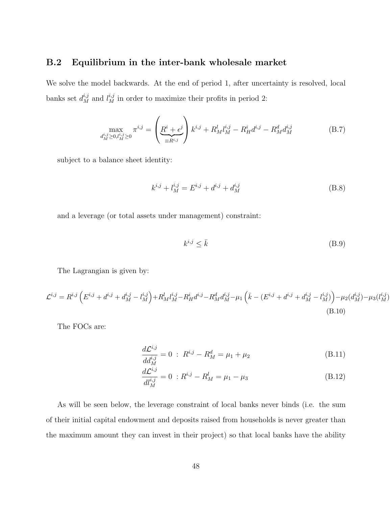### B.2 Equilibrium in the inter-bank wholesale market

We solve the model backwards. At the end of period 1, after uncertainty is resolved, local banks set  $d_M^{i,j}$  and  $l_M^{i,j}$  in order to maximize their profits in period 2:

$$
\max_{d_M^{i,j} \ge 0, l_M^{i,j} \ge 0} \pi^{i,j} = \left(\underbrace{R^i + \epsilon^j}_{=R^{i,j}}\right) k^{i,j} + R_M^l l_M^{i,j} - R_H^i d^{i,j} - R_M^d d_M^{i,j}
$$
(B.7)

subject to a balance sheet identity:

$$
k^{i,j} + l_M^{i,j} = E^{i,j} + d^{i,j} + d_M^{i,j}
$$
 (B.8)

and a leverage (or total assets under management) constraint:

$$
k^{i,j} \le \bar{k} \tag{B.9}
$$

The Lagrangian is given by:

$$
\mathcal{L}^{i,j} = R^{i,j} \left( E^{i,j} + d^{i,j} + d_M^{i,j} - l_M^{i,j} \right) + R_M^l l_M^{i,j} - R_H^i d^{i,j} - R_M^d d_M^{i,j} - \mu_1 \left( \bar{k} - (E^{i,j} + d^{i,j} + d_M^{i,j} - l_M^{i,j}) \right) - \mu_2(d_M^{i,j}) - \mu_3(l_M^{i,j})
$$
\n(B.10)

The FOCs are:

$$
\frac{d\mathcal{L}^{i,j}}{dd_M^{i,j}} = 0 \; : \; R^{i,j} - R_M^d = \mu_1 + \mu_2 \tag{B.11}
$$

$$
\frac{d\mathcal{L}^{i,j}}{dl_M^{i,j}} = 0 \; : R^{i,j} - R_M^l = \mu_1 - \mu_3 \tag{B.12}
$$

As will be seen below, the leverage constraint of local banks never binds (i.e. the sum of their initial capital endowment and deposits raised from households is never greater than the maximum amount they can invest in their project) so that local banks have the ability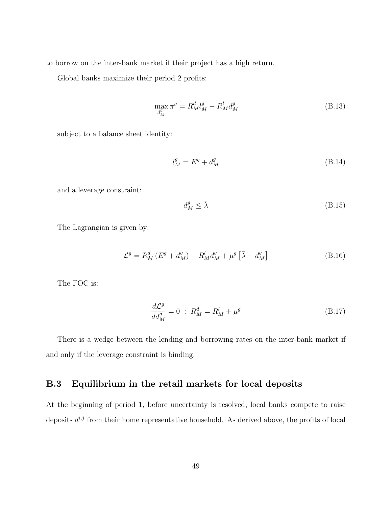to borrow on the inter-bank market if their project has a high return.

Global banks maximize their period 2 profits:

$$
\max_{d_M^g} \pi^g = R_M^d l_M^g - R_M^l d_M^g \tag{B.13}
$$

subject to a balance sheet identity:

$$
l_M^g = E^g + d_M^g \tag{B.14}
$$

and a leverage constraint:

$$
d_M^g \le \bar{\lambda} \tag{B.15}
$$

The Lagrangian is given by:

$$
\mathcal{L}^g = R_M^d \left( E^g + d_M^g \right) - R_M^l d_M^g + \mu^g \left[ \bar{\lambda} - d_M^g \right] \tag{B.16}
$$

The FOC is:

$$
\frac{d\mathcal{L}^g}{dd_M^g} = 0 \; : \; R_M^d = R_M^l + \mu^g \tag{B.17}
$$

There is a wedge between the lending and borrowing rates on the inter-bank market if and only if the leverage constraint is binding.

### B.3 Equilibrium in the retail markets for local deposits

At the beginning of period 1, before uncertainty is resolved, local banks compete to raise deposits  $d^{i,j}$  from their home representative household. As derived above, the profits of local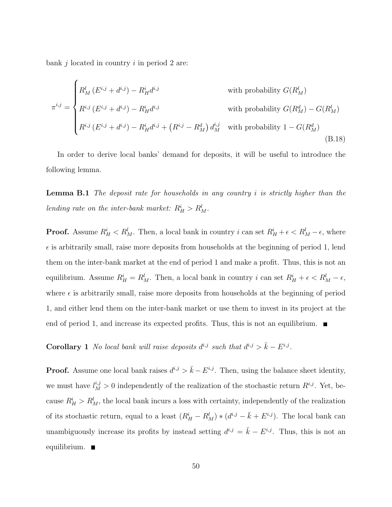bank  $j$  located in country  $i$  in period 2 are:

$$
\pi^{i,j} = \begin{cases}\nR_M^l(E^{i,j} + d^{i,j}) - R_H^i d^{i,j} & \text{with probability } G(R_M^l) \\
R^{i,j}(E^{i,j} + d^{i,j}) - R_H^i d^{i,j} & \text{with probability } G(R_M^d) - G(R_M^l) \\
R^{i,j}(E^{i,j} + d^{i,j}) - R_H^i d^{i,j} + (R^{i,j} - R_M^d) d_M^{i,j} & \text{with probability } 1 - G(R_M^d) \\
\end{cases}
$$
\n(B.18)

In order to derive local banks' demand for deposits, it will be useful to introduce the following lemma.

**Lemma B.1** The deposit rate for households in any country  $i$  is strictly higher than the lending rate on the inter-bank market:  $R_H^i > R_M^l$ .

**Proof.** Assume  $R_H^i < R_M^l$ . Then, a local bank in country i can set  $R_H^i + \epsilon < R_M^l - \epsilon$ , where  $\epsilon$  is arbitrarily small, raise more deposits from households at the beginning of period 1, lend them on the inter-bank market at the end of period 1 and make a profit. Thus, this is not an equilibrium. Assume  $R_H^i = R_M^l$ . Then, a local bank in country i can set  $R_H^i + \epsilon < R_M^l - \epsilon$ , where  $\epsilon$  is arbitrarily small, raise more deposits from households at the beginning of period 1, and either lend them on the inter-bank market or use them to invest in its project at the end of period 1, and increase its expected profits. Thus, this is not an equilibrium.  $\blacksquare$ 

<span id="page-50-0"></span>**Corollary 1** No local bank will raise deposits  $d^{i,j}$  such that  $d^{i,j} > \bar{k} - E^{i,j}$ .

**Proof.** Assume one local bank raises  $d^{i,j} > \bar{k} - E^{i,j}$ . Then, using the balance sheet identity, we must have  $l_M^{i,j} > 0$  independently of the realization of the stochastic return  $R^{i,j}$ . Yet, because  $R_H^i > R_M^l$ , the local bank incurs a loss with certainty, independently of the realization of its stochastic return, equal to a least  $(R_H^i - R_M^l) * (d^{i,j} - \bar{k} + E^{i,j})$ . The local bank can unambiguously increase its profits by instead setting  $d^{i,j} = \bar{k} - E^{i,j}$ . Thus, this is not an equilibrium.  $\blacksquare$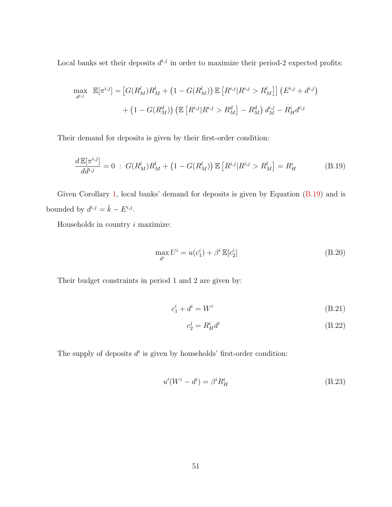Local banks set their deposits  $d^{i,j}$  in order to maximize their period-2 expected profits:

$$
\max_{d^{i,j}} \mathbb{E}[\pi^{i,j}] = [G(R_M^l)R_M^l + (1 - G(R_M^l)) \mathbb{E}[R^{i,j}|R^{i,j} > R_M^l] ] (E^{i,j} + d^{i,j})
$$

$$
+ (1 - G(R_M^d)) (\mathbb{E}[R^{i,j}|R^{i,j} > R_M^d] - R_M^d) d_M^{i,j} - R_H^i d^{i,j}
$$

Their demand for deposits is given by their first-order condition:

$$
\frac{d\mathbb{E}[\pi^{i,j}]}{dd^{i,j}} = 0 \; : \; G(R_M^l)R_M^l + (1 - G(R_M^l))\mathbb{E}\left[R^{i,j}|R^{i,j} > R_M^l\right] = R_H^i \tag{B.19}
$$

Given Corollary [1,](#page-50-0) local banks' demand for deposits is given by Equation [\(B.19\)](#page-51-0) and is bounded by  $d^{i,j} = \bar{k} - E^{i,j}$ .

Households in country  $i$  maximize:

<span id="page-51-0"></span>
$$
\max_{d^i} U^i = u(c_1^i) + \beta^i \mathbb{E}[c_2^i]
$$
 (B.20)

Their budget constraints in period 1 and 2 are given by:

$$
c_1^i + d^i = W^i \tag{B.21}
$$

$$
c_2^j = R_H^i d^i \tag{B.22}
$$

The supply of deposits  $d^i$  is given by households' first-order condition:

$$
u'(W^i - d^i) = \beta^i R_H^i \tag{B.23}
$$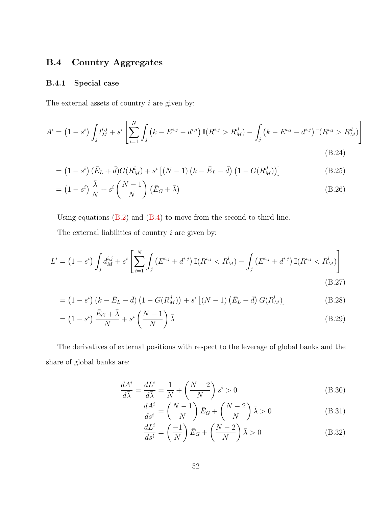### B.4 Country Aggregates

### B.4.1 Special case

The external assets of country  $i$  are given by:

$$
A^{i} = (1 - s^{i}) \int_{j} l_{M}^{i,j} + s^{i} \left[ \sum_{i=1}^{N} \int_{j} \left( k - E^{i,j} - d^{i,j} \right) \mathbb{I}(R^{i,j} > R_{M}^{d}) - \int_{j} \left( k - E^{i,j} - d^{i,j} \right) \mathbb{I}(R^{i,j} > R_{M}^{d}) \right] \tag{B.24}
$$

$$
= (1 - si) (\bar{E}_L + \bar{d}) G(R_M^l) + si [(N - 1) (k - \bar{E}_L - \bar{d}) (1 - G(R_M^d))]
$$
(B.25)

$$
= (1 - si) \frac{\bar{\lambda}}{N} + si \left(\frac{N - 1}{N}\right) (\bar{E}_G + \bar{\lambda})
$$
 (B.26)

Using equations [\(B.2\)](#page-46-1) and [\(B.4\)](#page-46-3) to move from the second to third line.

The external liabilities of country  $i$  are given by:

$$
L^{i} = (1 - s^{i}) \int_{j} d_{M}^{i,j} + s^{i} \left[ \sum_{i=1}^{N} \int_{j} \left( E^{i,j} + d^{i,j} \right) \mathbb{I}(R^{i,j} < R_{M}^{l}) - \int_{j} \left( E^{i,j} + d^{i,j} \right) \mathbb{I}(R^{i,j} < R_{M}^{l}) \right] \tag{B.27}
$$

$$
= (1 - si) (k - \bar{E}_L - \bar{d}) (1 - G(R_M^d)) + si [(N - 1) (\bar{E}_L + \bar{d}) G(R_M^l)]
$$
 (B.28)

$$
= (1 - si) \frac{\bar{E}_G + \bar{\lambda}}{N} + si \left(\frac{N - 1}{N}\right) \bar{\lambda}
$$
 (B.29)

The derivatives of external positions with respect to the leverage of global banks and the share of global banks are:

$$
\frac{dA^i}{d\bar{\lambda}} = \frac{dL^i}{d\bar{\lambda}} = \frac{1}{N} + \left(\frac{N-2}{N}\right)s^i > 0
$$
\n(B.30)

$$
\frac{dA^i}{ds^i} = \left(\frac{N-1}{N}\right)\bar{E}_G + \left(\frac{N-2}{N}\right)\bar{\lambda} > 0
$$
\n(B.31)

$$
\frac{dL^i}{ds^i} = \left(\frac{-1}{N}\right)\bar{E}_G + \left(\frac{N-2}{N}\right)\bar{\lambda} > 0\tag{B.32}
$$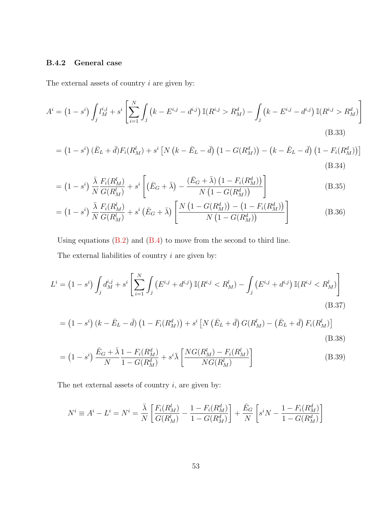### <span id="page-53-0"></span>B.4.2 General case

The external assets of country  $i$  are given by:

$$
A^{i} = (1 - s^{i}) \int_{j} l_{M}^{i,j} + s^{i} \left[ \sum_{i=1}^{N} \int_{j} \left( k - E^{i,j} - d^{i,j} \right) \mathbb{I}(R^{i,j} > R_{M}^{d}) - \int_{j} \left( k - E^{i,j} - d^{i,j} \right) \mathbb{I}(R^{i,j} > R_{M}^{d}) \right] \tag{B.33}
$$

$$
= (1 - si) (\bar{E}_L + \bar{d}) F_i(R_M^l) + si [N (k - \bar{E}_L - \bar{d}) (1 - G(R_M^d)) - (k - \bar{E}_L - \bar{d}) (1 - F_i(R_M^d))]
$$
\n(B.34)

$$
= (1 - si) \frac{\bar{\lambda}}{N} \frac{F_i(R_M^l)}{G(R_M^l)} + si \left[ (\bar{E}_G + \bar{\lambda}) - \frac{(\bar{E}_G + \bar{\lambda}) (1 - F_i(R_M^d))}{N (1 - G(R_M^d))} \right]
$$
(B.35)

$$
= (1 - s^i) \frac{\bar{\lambda}}{N} \frac{F_i(R_M^l)}{G(R_M^l)} + s^i \left(\bar{E}_G + \bar{\lambda}\right) \left[ \frac{N\left(1 - G(R_M^d)\right) - \left(1 - F_i(R_M^d)\right)}{N\left(1 - G(R_M^d)\right)} \right]
$$
(B.36)

Using equations [\(B.2\)](#page-46-1) and [\(B.4\)](#page-46-3) to move from the second to third line. The external liabilities of country  $i$  are given by:

$$
L^{i} = (1 - s^{i}) \int_{j} d_{M}^{i,j} + s^{i} \left[ \sum_{i=1}^{N} \int_{j} \left( E^{i,j} + d^{i,j} \right) \mathbb{I} (R^{i,j} < R_{M}^{l}) - \int_{j} \left( E^{i,j} + d^{i,j} \right) \mathbb{I} (R^{i,j} < R_{M}^{l}) \right] \tag{B.37}
$$

$$
= (1 - si) (k - \bar{E}_L - \bar{d}) (1 - F_i(R_M^d)) + si [N (\bar{E}_L + \bar{d}) G(R_M^l) - (\bar{E}_L + \bar{d}) F_i(R_M^l)]
$$
\n(B.38)

$$
= (1 - s^i) \frac{\bar{E}_G + \bar{\lambda}}{N} \frac{1 - F_i(R_M^d)}{1 - G(R_M^d)} + s^i \bar{\lambda} \left[ \frac{NG(R_M^l) - F_i(R_M^l)}{NG(R_M^l)} \right]
$$
(B.39)

The net external assets of country  $i$ , are given by:

$$
N^{i} \equiv A^{i} - L^{i} = N^{i} = \frac{\bar{\lambda}}{N} \left[ \frac{F_{i}(R_{M}^{l})}{G(R_{M}^{l})} - \frac{1 - F_{i}(R_{M}^{d})}{1 - G(R_{M}^{d})} \right] + \frac{\bar{E}_{G}}{N} \left[ s^{i}N - \frac{1 - F_{i}(R_{M}^{d})}{1 - G(R_{M}^{d})} \right]
$$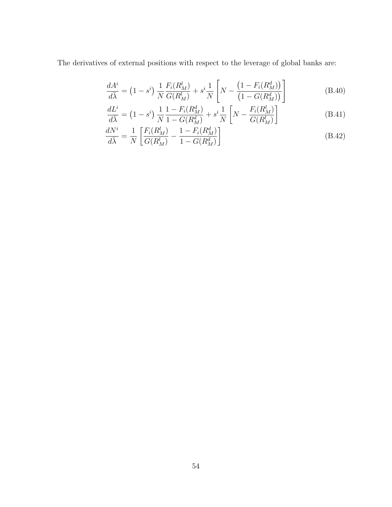The derivatives of external positions with respect to the leverage of global banks are:

$$
\frac{dA^i}{d\bar{\lambda}} = (1 - s^i) \frac{1}{N} \frac{F_i(R_M^l)}{G(R_M^l)} + s^i \frac{1}{N} \left[ N - \frac{(1 - F_i(R_M^d))}{(1 - G(R_M^d))} \right]
$$
(B.40)

$$
\frac{dL^i}{d\bar{\lambda}} = (1 - s^i) \frac{1}{N} \frac{1 - F_i(R_M^d)}{1 - G(R_M^d)} + s^i \frac{1}{N} \left[ N - \frac{F_i(R_M^l)}{G(R_M^l)} \right]
$$
(B.41)

$$
\frac{dN^i}{d\bar{\lambda}} = \frac{1}{N} \left[ \frac{F_i(R_M^l)}{G(R_M^l)} - \frac{1 - F_i(R_M^d)}{1 - G(R_M^d)} \right]
$$
(B.42)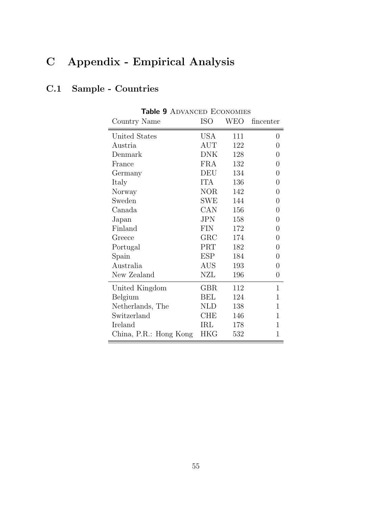# C Appendix - Empirical Analysis

## C.1 Sample - Countries

| Country Name           | <b>ISO</b>           | WEO | fincenter      |
|------------------------|----------------------|-----|----------------|
| United States          | USA                  | 111 | 0              |
| Austria                | AUT                  | 122 | 0              |
| Denmark                | <b>DNK</b>           | 128 | 0              |
| France                 | <b>FRA</b>           | 132 | 0              |
| Germany                | DEU                  | 134 | 0              |
| Italy                  | <b>ITA</b>           | 136 | $\overline{0}$ |
| Norway                 | NOR.                 | 142 | 0              |
| Sweden                 | SWE                  | 144 | 0              |
| Canada                 | CAN                  | 156 | 0              |
| Japan                  | <b>JPN</b>           | 158 | 0              |
| Finland                | <b>FIN</b>           | 172 | 0              |
| Greece                 | ${\rm GRC}$          | 174 | $\overline{0}$ |
| Portugal               | PRT                  | 182 | 0              |
| Spain                  | <b>ESP</b>           | 184 | 0              |
| Australia              | $\operatorname{AUS}$ | 193 | 0              |
| New Zealand            | NZL                  | 196 | $\overline{0}$ |
| United Kingdom         | GBR                  | 112 | $\mathbf{1}$   |
| Belgium                | <b>BEL</b>           | 124 | 1              |
| Netherlands, The       | <b>NLD</b>           | 138 | 1              |
| Switzerland            | CHE                  | 146 | 1              |
| Ireland                | IRL                  | 178 | 1              |
| China, P.R.: Hong Kong | <b>HKG</b>           | 532 | 1              |

Table 9 ADVANCED ECONOMIES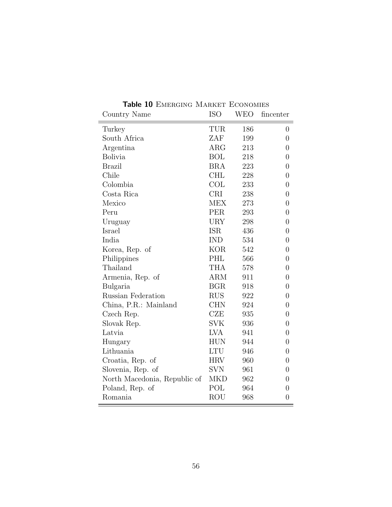| Country Name                 | <b>ISO</b>  | WEO | fincenter        |
|------------------------------|-------------|-----|------------------|
| Turkey                       | TUR         | 186 | $\overline{0}$   |
| South Africa                 | ZAF         | 199 | $\overline{0}$   |
| Argentina                    | $\rm{ARG}$  | 213 | $\overline{0}$   |
| <b>Bolivia</b>               | <b>BOL</b>  | 218 | $\overline{0}$   |
| <b>Brazil</b>                | <b>BRA</b>  | 223 | $\overline{0}$   |
| Chile                        | <b>CHL</b>  | 228 | $\overline{0}$   |
| Colombia                     | COL         | 233 | $\overline{0}$   |
| Costa Rica                   | <b>CRI</b>  | 238 | $\overline{0}$   |
| Mexico                       | <b>MEX</b>  | 273 | $\overline{0}$   |
| Peru                         | <b>PER</b>  | 293 | $\overline{0}$   |
| Uruguay                      | <b>URY</b>  | 298 | $\overline{0}$   |
| Israel                       | <b>ISR</b>  | 436 | $\overline{0}$   |
| India                        | <b>IND</b>  | 534 | $\overline{0}$   |
| Korea, Rep. of               | <b>KOR</b>  | 542 | $\overline{0}$   |
| Philippines                  | PHL         | 566 | $\overline{0}$   |
| Thailand                     | <b>THA</b>  | 578 | $\overline{0}$   |
| Armenia, Rep. of             | <b>ARM</b>  | 911 | $\overline{0}$   |
| Bulgaria                     | <b>BGR</b>  | 918 | $\overline{0}$   |
| Russian Federation           | <b>RUS</b>  | 922 | $\overline{0}$   |
| China, P.R.: Mainland        | <b>CHN</b>  | 924 | $\boldsymbol{0}$ |
| Czech Rep.                   | CZE         | 935 | $\overline{0}$   |
| Slovak Rep.                  | <b>SVK</b>  | 936 | $\overline{0}$   |
| Latvia                       | <b>LVA</b>  | 941 | $\overline{0}$   |
| Hungary                      | ${\rm HUN}$ | 944 | $\overline{0}$   |
| Lithuania                    | <b>LTU</b>  | 946 | $\overline{0}$   |
| Croatia, Rep. of             | <b>HRV</b>  | 960 | $\boldsymbol{0}$ |
| Slovenia, Rep. of            | <b>SVN</b>  | 961 | $\overline{0}$   |
| North Macedonia, Republic of | <b>MKD</b>  | 962 | $\overline{0}$   |
| Poland, Rep. of              | POL         | 964 | $\boldsymbol{0}$ |
| Romania                      | <b>ROU</b>  | 968 | $\boldsymbol{0}$ |

Table 10 EMERGING MARKET ECONOMIES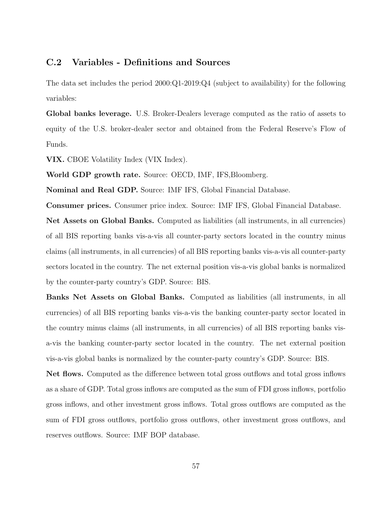### C.2 Variables - Definitions and Sources

The data set includes the period 2000:Q1-2019:Q4 (subject to availability) for the following variables:

Global banks leverage. U.S. Broker-Dealers leverage computed as the ratio of assets to equity of the U.S. broker-dealer sector and obtained from the Federal Reserve's Flow of Funds.

VIX. CBOE Volatility Index (VIX Index).

World GDP growth rate. Source: OECD, IMF, IFS, Bloomberg.

Nominal and Real GDP. Source: IMF IFS, Global Financial Database.

Consumer prices. Consumer price index. Source: IMF IFS, Global Financial Database.

Net Assets on Global Banks. Computed as liabilities (all instruments, in all currencies) of all BIS reporting banks vis-a-vis all counter-party sectors located in the country minus claims (all instruments, in all currencies) of all BIS reporting banks vis-a-vis all counter-party sectors located in the country. The net external position vis-a-vis global banks is normalized by the counter-party country's GDP. Source: BIS.

Banks Net Assets on Global Banks. Computed as liabilities (all instruments, in all currencies) of all BIS reporting banks vis-a-vis the banking counter-party sector located in the country minus claims (all instruments, in all currencies) of all BIS reporting banks visa-vis the banking counter-party sector located in the country. The net external position vis-a-vis global banks is normalized by the counter-party country's GDP. Source: BIS.

Net flows. Computed as the difference between total gross outflows and total gross inflows as a share of GDP. Total gross inflows are computed as the sum of FDI gross inflows, portfolio gross inflows, and other investment gross inflows. Total gross outflows are computed as the sum of FDI gross outflows, portfolio gross outflows, other investment gross outflows, and reserves outflows. Source: IMF BOP database.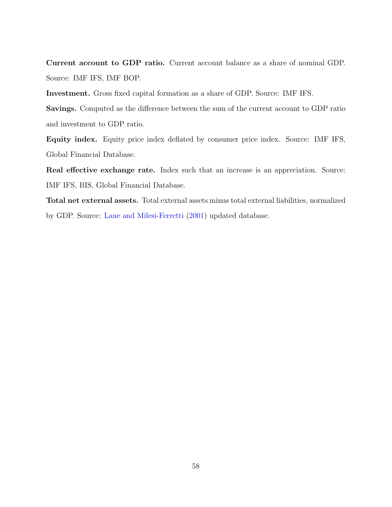Current account to GDP ratio. Current account balance as a share of nominal GDP. Source: IMF IFS, IMF BOP.

Investment. Gross fixed capital formation as a share of GDP. Source: IMF IFS.

Savings. Computed as the difference between the sum of the current account to GDP ratio and investment to GDP ratio.

Equity index. Equity price index deflated by consumer price index. Source: IMF IFS, Global Financial Database.

Real effective exchange rate. Index such that an increase is an appreciation. Source: IMF IFS, BIS, Global Financial Database.

Total net external assets. Total external assets minus total external liabilities, normalized by GDP. Source: [Lane and Milesi-Ferretti](#page-73-1) [\(2001\)](#page-73-1) updated database.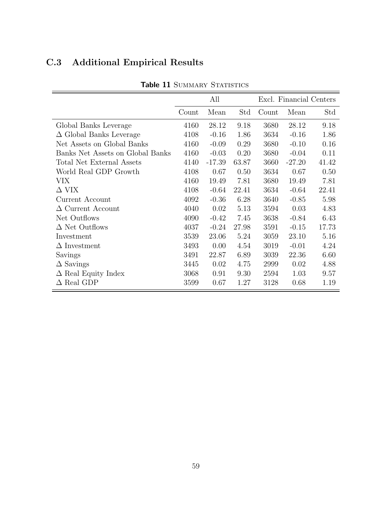| <b>Table 11 SUMMARY STATISTICS</b> |       |          |       |                         |          |       |  |
|------------------------------------|-------|----------|-------|-------------------------|----------|-------|--|
|                                    |       | All      |       | Excl. Financial Centers |          |       |  |
|                                    | Count | Mean     | Std   | Count                   | Mean     | Std   |  |
| Global Banks Leverage              | 4160  | 28.12    | 9.18  | 3680                    | 28.12    | 9.18  |  |
| $\Delta$ Global Banks Leverage     | 4108  | $-0.16$  | 1.86  | 3634                    | $-0.16$  | 1.86  |  |
| Net Assets on Global Banks         | 4160  | $-0.09$  | 0.29  | 3680                    | $-0.10$  | 0.16  |  |
| Banks Net Assets on Global Banks   | 4160  | $-0.03$  | 0.20  | 3680                    | $-0.04$  | 0.11  |  |
| <b>Total Net External Assets</b>   | 4140  | $-17.39$ | 63.87 | 3660                    | $-27.20$ | 41.42 |  |
| World Real GDP Growth              | 4108  | 0.67     | 0.50  | 3634                    | 0.67     | 0.50  |  |
| VIX                                | 4160  | 19.49    | 7.81  | 3680                    | 19.49    | 7.81  |  |
| $\Delta$ VIX                       | 4108  | $-0.64$  | 22.41 | 3634                    | $-0.64$  | 22.41 |  |
| Current Account                    | 4092  | $-0.36$  | 6.28  | 3640                    | $-0.85$  | 5.98  |  |
| $\Delta$ Current Account           | 4040  | 0.02     | 5.13  | 3594                    | 0.03     | 4.83  |  |
| Net Outflows                       | 4090  | $-0.42$  | 7.45  | 3638                    | $-0.84$  | 6.43  |  |
| $\Delta$ Net Outflows              | 4037  | $-0.24$  | 27.98 | 3591                    | $-0.15$  | 17.73 |  |
| Investment                         | 3539  | 23.06    | 5.24  | 3059                    | 23.10    | 5.16  |  |
| $\Delta$ Investment                | 3493  | 0.00     | 4.54  | 3019                    | $-0.01$  | 4.24  |  |
| Savings                            | 3491  | 22.87    | 6.89  | 3039                    | 22.36    | 6.60  |  |
| $\Delta$ Savings                   | 3445  | 0.02     | 4.75  | 2999                    | 0.02     | 4.88  |  |
| $\Delta$ Real Equity Index         | 3068  | 0.91     | 9.30  | 2594                    | 1.03     | 9.57  |  |
| $\Delta$ Real GDP                  | 3599  | 0.67     | 1.27  | 3128                    | 0.68     | 1.19  |  |

# C.3 Additional Empirical Results

59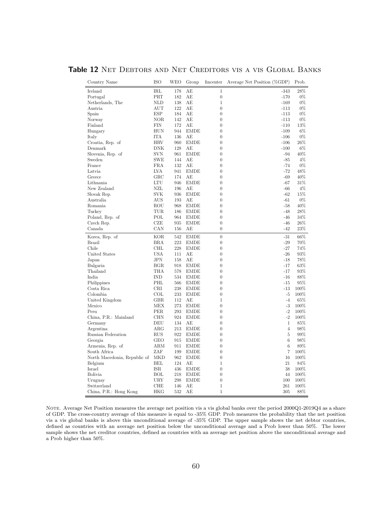| Table 12 NET DEBTORS AND NET CREDITORS VIS A VIS GLOBAL BANKS |  |  |  |
|---------------------------------------------------------------|--|--|--|
|---------------------------------------------------------------|--|--|--|

| Country Name                 | <b>ISO</b>   | WEO | Group       | fincenter        | Average Net Position (%GDP) | Prob.  |
|------------------------------|--------------|-----|-------------|------------------|-----------------------------|--------|
| Ireland                      | IRL          | 178 | AЕ          | $\mathbf 1$      | $-343$                      | 28%    |
| Portugal                     | PRT          | 182 | АE          | $\theta$         | $-170$                      | $0\%$  |
| Netherlands, The             | <b>NLD</b>   | 138 | АE          | $\mathbf{1}$     | $-169$                      | $0\%$  |
| Austria                      | AUT          | 122 | AЕ          | $\boldsymbol{0}$ | -113                        | $0\%$  |
| Spain                        | ESP          | 184 | AЕ          | $\theta$         | $-113$                      | $0\%$  |
| Norway                       | NOR          | 142 | АE          | $\boldsymbol{0}$ | $-113$                      | $0\%$  |
| Finland                      | FIN          | 172 | AЕ          | $\boldsymbol{0}$ | $-110$                      | 13%    |
| Hungary                      | HUN          | 944 | <b>EMDE</b> | $\overline{0}$   | $-109$                      | $6\%$  |
| Italy                        | <b>ITA</b>   | 136 | АE          | $\boldsymbol{0}$ | $-106$                      | $0\%$  |
| Croatia, Rep. of             | <b>HRV</b>   | 960 | <b>EMDE</b> | $\boldsymbol{0}$ | $-106$                      | 26%    |
| Denmark                      | <b>DNK</b>   | 128 | АE          | $\overline{0}$   | $-100$                      | 6%     |
| Slovenia, Rep. of            | <b>SVN</b>   | 961 | <b>EMDE</b> | $\boldsymbol{0}$ | $-94$                       | 40%    |
| Sweden                       | <b>SWE</b>   | 144 | AЕ          | $\boldsymbol{0}$ | $-85$                       | 4%     |
| France                       | <b>FRA</b>   | 132 | AЕ          | $\overline{0}$   | $-74$                       | $0\%$  |
| Latvia                       | <b>LVA</b>   | 941 | <b>EMDE</b> | $\boldsymbol{0}$ | $-72$                       | 48%    |
| Greece                       | $_{\rm GRC}$ | 174 | AЕ          | $\boldsymbol{0}$ | -69                         | 40%    |
| Lithuania                    | <b>LTU</b>   | 946 | <b>EMDE</b> | $\overline{0}$   | $-67$                       | 31%    |
| New Zealand                  | NZL          | 196 | АE          | $\boldsymbol{0}$ | $-66$                       | $4\%$  |
| Slovak Rep.                  | <b>SVK</b>   | 936 | <b>EMDE</b> | $\boldsymbol{0}$ | $-62$                       | 15%    |
| Australia                    | AUS          | 193 | AЕ          | $\overline{0}$   | $-61$                       | $0\%$  |
| Romania                      | ROU          | 968 | <b>EMDE</b> | $\boldsymbol{0}$ | $-58$                       | 40%    |
| Turkey                       | TUR          | 186 | <b>EMDE</b> | $\overline{0}$   | $-48$                       | 28%    |
| Poland, Rep. of              | POL          | 964 | <b>EMDE</b> | $\boldsymbol{0}$ | $-46$                       | 34%    |
| Czech Rep.                   | CZE          | 935 | <b>EMDE</b> | $\overline{0}$   | $-46$                       | 26%    |
| Canada                       | CAN          | 156 | AЕ          | $\theta$         | $-42$                       | $23\%$ |
| Korea, Rep. of               | <b>KOR</b>   | 542 | <b>EMDE</b> | $\boldsymbol{0}$ | $-31$                       | 66%    |
| <b>Brazil</b>                | <b>BRA</b>   | 223 | EMDE        | $\boldsymbol{0}$ | $-29$                       | 70%    |
| Chile                        | CHL          | 228 | <b>EMDE</b> | $\boldsymbol{0}$ | $-27$                       | 74%    |
| United States                | <b>USA</b>   | 111 | АE          | $\boldsymbol{0}$ | $-26$                       | 93%    |
| Japan                        | JPN          | 158 | AЕ          | $\boldsymbol{0}$ | $-18$                       | 78%    |
| Bulgaria                     | <b>BGR</b>   | 918 | <b>EMDE</b> | $\boldsymbol{0}$ | $-17$                       | 63%    |
| Thailand                     | THA          | 578 | <b>EMDE</b> | $\boldsymbol{0}$ | $-17$                       | 93%    |
| India                        | <b>IND</b>   | 534 | <b>EMDE</b> | $\boldsymbol{0}$ | $-16$                       | 88%    |
| Philippines                  | PHL          | 566 | <b>EMDE</b> | $\overline{0}$   | $-15$                       | 95%    |
| Costa Rica                   | <b>CRI</b>   | 238 | <b>EMDE</b> | $\overline{0}$   | $-13$                       | 100%   |
| Colombia                     | COL          | 233 | <b>EMDE</b> | $\boldsymbol{0}$ | $-5$                        | 100%   |
| United Kingdom               | GBR.         | 112 | AЕ          | $\mathbf{1}$     | $-4$                        | 65%    |
| Mexico                       | MEX          | 273 | <b>EMDE</b> | $\overline{0}$   | $-3$                        | 100%   |
| Peru                         | <b>PER</b>   | 293 | <b>EMDE</b> | $\boldsymbol{0}$ | $-2$                        | 100%   |
| China, P.R.: Mainland        | CHN          | 924 | <b>EMDE</b> | $\boldsymbol{0}$ | $-2$                        | 100%   |
| Germany                      | DEU          | 134 | AE          | $\boldsymbol{0}$ | $\mathbf{1}$                | 85%    |
| Argentina                    | $\rm{ARG}$   | 213 | <b>EMDE</b> | $\overline{0}$   | $\overline{4}$              | 98%    |
| Russian Federation           | <b>RUS</b>   | 922 | <b>EMDE</b> | $\boldsymbol{0}$ | $\bf 5$                     | 99%    |
| Georgia                      | GEO          | 915 | <b>EMDE</b> | $\boldsymbol{0}$ | 6                           | 98%    |
| Armenia, Rep. of             | ARM          | 911 | EMDE        | $\overline{0}$   | 6                           | 89%    |
| South Africa                 | ZAF          | 199 | <b>EMDE</b> | $\boldsymbol{0}$ | $\overline{7}$              | 100%   |
| North Macedonia, Republic of | <b>MKD</b>   | 962 | <b>EMDE</b> | $\overline{0}$   | 16                          | 100%   |
| Belgium                      | BEL          | 124 | AЕ          | $\mathbf{1}$     | 21                          | 84%    |
| Israel                       | ISR          | 436 | <b>EMDE</b> | $\boldsymbol{0}$ | 38                          | 100%   |
| <b>Bolivia</b>               | BOL          | 218 | EMDE        | $\overline{0}$   | 44                          | 100%   |
| Uruguay                      | <b>URY</b>   | 298 | <b>EMDE</b> | $\boldsymbol{0}$ | 100                         | 100%   |
| Switzerland                  | CHE          | 146 | АE          | $\mathbf{1}$     | 261                         | 100%   |
| China, P.R.: Hong Kong       | HKG          | 532 | AЕ          | $\mathbf 1$      | 305                         | 88%    |

NOTE. Average Net Position measures the average net position vis a vis global banks over the period 2000Q1-2019Q4 as a share of GDP. The cross-country average of this measure is equal to -35% GDP. Prob measures the probability that the net position vis a vis global banks is above this unconditional average of -35% GDP. The upper sample shows the net debtor countries, defined as countries with an average net position below the unconditional average and a Prob lower than 50%. The lower sample shows the net creditor countries, defined as countries with an average net position above the unconditional average and a Prob higher than 50%.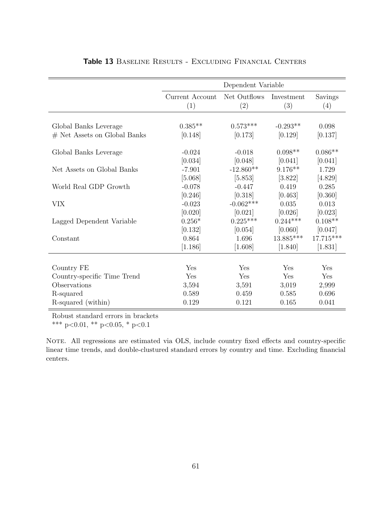|                                | Dependent Variable     |                     |                   |                |  |  |
|--------------------------------|------------------------|---------------------|-------------------|----------------|--|--|
|                                | Current Account<br>(1) | Net Outflows<br>(2) | Investment<br>(3) | Savings<br>(4) |  |  |
|                                |                        |                     |                   |                |  |  |
| Global Banks Leverage          | $0.385**$              | $0.573***$          | $-0.293**$        | 0.098          |  |  |
| $#$ Net Assets on Global Banks | [0.148]                | [0.173]             | [0.129]           | [0.137]        |  |  |
| Global Banks Leverage          | $-0.024$               | $-0.018$            | $0.098**$         | $0.086**$      |  |  |
|                                | [0.034]                | [0.048]             | [0.041]           | [0.041]        |  |  |
| Net Assets on Global Banks     | $-7.901$               | $-12.860**$         | $9.176**$         | 1.729          |  |  |
|                                | [5.068]                | [5.853]             | [3.822]           | [4.829]        |  |  |
| World Real GDP Growth          | $-0.078$               | $-0.447$            | 0.419             | 0.285          |  |  |
|                                | [0.246]                | [0.318]             | [0.463]           | [0.360]        |  |  |
| <b>VIX</b>                     | $-0.023$               | $-0.062***$         | 0.035             | 0.013          |  |  |
|                                | [0.020]                | [0.021]             | [0.026]           | [0.023]        |  |  |
| Lagged Dependent Variable      | $0.256*$               | $0.225***$          | $0.244***$        | $0.108**$      |  |  |
|                                | [0.132]                | [0.054]             | [0.060]           | [0.047]        |  |  |
| Constant                       | 0.864                  | 1.696               | $13.885***$       | $17.715***$    |  |  |
|                                | [1.186]                | [1.608]             | [1.840]           | [1.831]        |  |  |
|                                |                        |                     |                   |                |  |  |
| Country FE                     | Yes                    | Yes                 | Yes               | Yes            |  |  |
| Country-specific Time Trend    | Yes                    | Yes                 | Yes               | Yes            |  |  |
| Observations                   | 3,594                  | 3,591               | 3,019             | 2,999          |  |  |
| R-squared                      | 0.589                  | 0.459               | 0.585             | 0.696          |  |  |
| R-squared (within)             | 0.129                  | 0.121               | 0.165             | 0.041          |  |  |

#### Table 13 BASELINE RESULTS - EXCLUDING FINANCIAL CENTERS

Robust standard errors in brackets

\*\*\* p<0.01, \*\* p<0.05, \* p<0.1

NOTE. All regressions are estimated via OLS, include country fixed effects and country-specific linear time trends, and double-clustured standard errors by country and time. Excluding financial centers.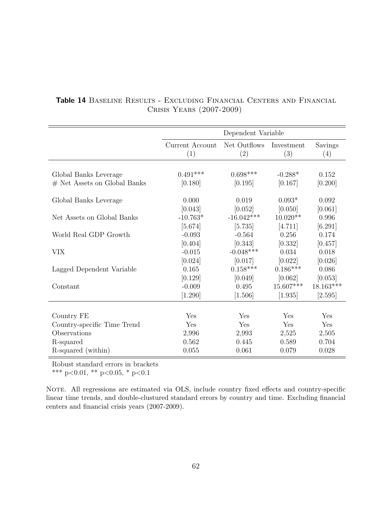|                                                         | Dependent Variable     |                         |                       |                      |  |  |
|---------------------------------------------------------|------------------------|-------------------------|-----------------------|----------------------|--|--|
|                                                         | Current Account<br>(1) | Net Outflows<br>(2)     | Investment<br>(3)     | Savings<br>(4)       |  |  |
|                                                         | $0.491***$             | $0.698***$              | $-0.288*$             |                      |  |  |
| Global Banks Leverage<br>$#$ Net Assets on Global Banks | [0.180]                | [0.195]                 | [0.167]               | 0.152<br>[0.200]     |  |  |
| Global Banks Leverage                                   | 0.000                  | 0.019                   | $0.093*$              | 0.092                |  |  |
| Net Assets on Global Banks                              | [0.043]<br>$-10.763*$  | [0.052]<br>$-16.042***$ | [0.050]<br>$10.020**$ | [0.061]<br>0.996     |  |  |
|                                                         | [5.674]                | [5.735]                 | [4.711]               | [6.291]              |  |  |
| World Real GDP Growth                                   | $-0.093$<br>[0.404]    | $-0.564$<br>[0.343]     | 0.256<br>[0.332]      | 0.174<br>[0.457]     |  |  |
| <b>VIX</b>                                              | $-0.015$               | $-0.048***$             | 0.034                 | 0.018                |  |  |
| Lagged Dependent Variable                               | [0.024]<br>0.165       | [0.017]<br>$0.158***$   | [0.022]<br>$0.186***$ | [0.026]<br>0.086     |  |  |
| Constant                                                | [0.129]<br>$-0.009$    | [0.049]<br>0.495        | [0.062]<br>15.607***  | [0.053]<br>18.163*** |  |  |
|                                                         | [1.290]                | [1.506]                 | [1.935]               | [2.595]              |  |  |
|                                                         |                        |                         |                       |                      |  |  |
| Country FE                                              | Yes                    | Yes                     | Yes                   | Yes                  |  |  |
| Country-specific Time Trend                             | Yes                    | Yes                     | Yes                   | Yes                  |  |  |
| Observations                                            | 2,996                  | 2,993                   | 2,525                 | 2,505                |  |  |
| R-squared                                               | 0.562                  | 0.445                   | 0.589                 | 0.704                |  |  |
| R-squared (within)                                      | 0.055                  | 0.061                   | 0.079                 | 0.028                |  |  |

### Table 14 Baseline Results - Excluding Financial Centers and Financial Crisis Years (2007-2009)

Robust standard errors in brackets

\*\*\* p<0.01, \*\* p<0.05, \* p<0.1

NOTE. All regressions are estimated via OLS, include country fixed effects and country-specific linear time trends, and double-clustured standard errors by country and time. Excluding financial centers and financial crisis years (2007-2009).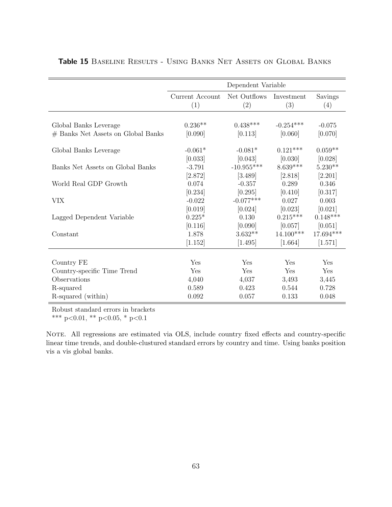|                                    | Dependent Variable     |                     |                   |                |
|------------------------------------|------------------------|---------------------|-------------------|----------------|
|                                    | Current Account<br>(1) | Net Outflows<br>(2) | Investment<br>(3) | Savings<br>(4) |
|                                    |                        |                     |                   |                |
| Global Banks Leverage              | $0.236**$              | $0.438***$          | $-0.254***$       | $-0.075$       |
| # Banks Net Assets on Global Banks | [0.090]                | [0.113]             | [0.060]           | [0.070]        |
| Global Banks Leverage              | $-0.061*$              | $-0.081*$           | $0.121***$        | $0.059**$      |
|                                    | [0.033]                | [0.043]             | [0.030]           | [0.028]        |
| Banks Net Assets on Global Banks   | $-3.791$               | $-10.955***$        | $8.639***$        | $5.230**$      |
|                                    | [2.872]                | [3.489]             | [2.818]           | [2.201]        |
| World Real GDP Growth              | 0.074                  | $-0.357$            | 0.289             | 0.346          |
|                                    | [0.234]                | [0.295]             | [0.410]           | [0.317]        |
| VIX                                | $-0.022$               | $-0.077***$         | 0.027             | 0.003          |
|                                    | [0.019]                | [0.024]             | [0.023]           | [0.021]        |
| Lagged Dependent Variable          | $0.225*$               | 0.130               | $0.215***$        | $0.148***$     |
|                                    | [0.116]                | [0.090]             | [0.057]           | [0.051]        |
| Constant                           | 1.878                  | $3.632**$           | $14.100***$       | 17.694***      |
|                                    | [1.152]                | [1.495]             | [1.664]           | [1.571]        |
|                                    |                        |                     |                   |                |
| Country FE                         | Yes                    | Yes                 | Yes               | Yes            |
| Country-specific Time Trend        | Yes                    | Yes                 | Yes               | Yes            |
| Observations                       | 4,040                  | 4,037               | 3,493             | 3,445          |
| R-squared                          | 0.589                  | 0.423               | 0.544             | 0.728          |
| R-squared (within)                 | 0.092                  | 0.057               | 0.133             | 0.048          |

Table 15 BASELINE RESULTS - USING BANKS NET ASSETS ON GLOBAL BANKS

Robust standard errors in brackets

\*\*\* p<0.01, \*\* p<0.05, \* p<0.1

NOTE. All regressions are estimated via OLS, include country fixed effects and country-specific linear time trends, and double-clustured standard errors by country and time. Using banks position vis a vis global banks.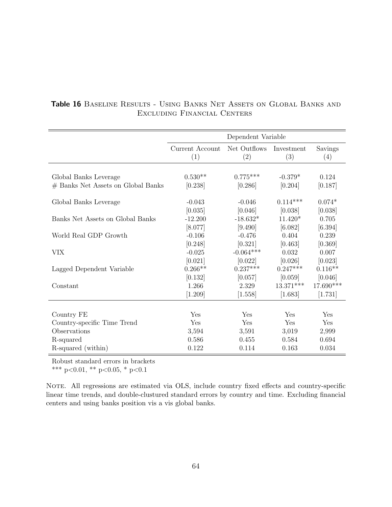|                                    | Dependent Variable     |                     |                   |                |
|------------------------------------|------------------------|---------------------|-------------------|----------------|
|                                    | Current Account<br>(1) | Net Outflows<br>(2) | Investment<br>(3) | Savings<br>(4) |
|                                    |                        |                     |                   |                |
| Global Banks Leverage              | $0.530**$              | $0.775***$          | $-0.379*$         | 0.124          |
| # Banks Net Assets on Global Banks | [0.238]                | [0.286]             | [0.204]           | [0.187]        |
| Global Banks Leverage              | $-0.043$               | $-0.046$            | $0.114***$        | $0.074*$       |
|                                    | [0.035]                | [0.046]             | [0.038]           | [0.038]        |
| Banks Net Assets on Global Banks   | $-12.200$              | $-18.632*$          | $11.420*$         | 0.705          |
|                                    | [8.077]                | [9.490]             | [6.082]           | [6.394]        |
| World Real GDP Growth              | $-0.106$               | $-0.476$            | 0.404             | 0.239          |
|                                    | [0.248]                | [0.321]             | [0.463]           | [0.369]        |
| <b>VIX</b>                         | $-0.025$               | $-0.064***$         | 0.032             | 0.007          |
|                                    | [0.021]                | [0.022]             | [0.026]           | [0.023]        |
| Lagged Dependent Variable          | $0.266**$              | $0.237***$          | $0.247***$        | $0.116**$      |
|                                    | [0.132]                | [0.057]             | [0.059]           | [0.046]        |
| Constant                           | 1.266                  | 2.329               | $13.371***$       | 17.690***      |
|                                    | [1.209]                | [1.558]             | [1.683]           | [1.731]        |
|                                    |                        |                     |                   |                |
| Country FE                         | Yes                    | Yes                 | Yes               | Yes            |
| Country-specific Time Trend        | Yes                    | Yes                 | Yes               | Yes            |
| Observations                       | 3,594                  | 3,591               | 3,019             | 2,999          |
| R-squared                          | 0.586                  | 0.455               | 0.584             | 0.694          |
| R-squared (within)                 | 0.122                  | 0.114               | 0.163             | 0.034          |

### Table 16 Baseline Results - Using Banks Net Assets on Global Banks and Excluding Financial Centers

Robust standard errors in brackets

\*\*\* p<0.01, \*\* p<0.05, \* p<0.1

NOTE. All regressions are estimated via OLS, include country fixed effects and country-specific linear time trends, and double-clustured standard errors by country and time. Excluding financial centers and using banks position vis a vis global banks.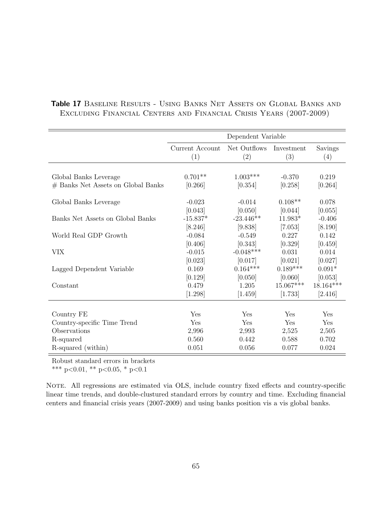|                                                             | Dependent Variable     |                       |                     |                  |
|-------------------------------------------------------------|------------------------|-----------------------|---------------------|------------------|
|                                                             | Current Account<br>(1) | Net Outflows<br>(2)   | Investment<br>(3)   | Savings<br>(4)   |
|                                                             |                        |                       |                     |                  |
| Global Banks Leverage<br># Banks Net Assets on Global Banks | $0.701**$<br>[0.266]   | $1.003***$<br>[0.354] | $-0.370$<br>[0.258] | 0.219<br>[0.264] |
|                                                             |                        |                       |                     |                  |
| Global Banks Leverage                                       | $-0.023$               | $-0.014$              | $0.108**$           | 0.078            |
|                                                             | [0.043]                | [0.050]               | [0.044]             | [0.055]          |
| Banks Net Assets on Global Banks                            | $-15.837*$             | $-23.446**$           | $11.983*$           | $-0.406$         |
|                                                             | [8.246]                | [9.838]               | [7.053]             | [8.190]          |
| World Real GDP Growth                                       | $-0.084$               | $-0.549$              | 0.227               | 0.142            |
|                                                             | [0.406]                | [0.343]               | [0.329]             | [0.459]          |
| VIX                                                         | $-0.015$               | $-0.048***$           | 0.031               | 0.014            |
|                                                             | [0.023]                | [0.017]               | [0.021]             | [0.027]          |
| Lagged Dependent Variable                                   | 0.169                  | $0.164***$            | $0.189***$          | $0.091*$         |
|                                                             | [0.129]                | [0.050]               | [0.060]             | [0.053]          |
| Constant                                                    | 0.479                  | 1.205                 | 15.067***           | 18.164***        |
|                                                             | [1.298]                | $[1.459]$             | [1.733]             | [2.416]          |
|                                                             |                        |                       |                     |                  |
| Country FE                                                  | Yes                    | Yes                   | Yes                 | Yes              |
| Country-specific Time Trend                                 | Yes                    | Yes                   | Yes                 | Yes              |
| Observations                                                | 2,996                  | 2,993                 | 2,525               | 2,505            |
| R-squared                                                   | 0.560                  | 0.442                 | 0.588               | 0.702            |
| R-squared (within)                                          | 0.051                  | 0.056                 | 0.077               | 0.024            |

### Table 17 Baseline Results - Using Banks Net Assets on Global Banks and Excluding Financial Centers and Financial Crisis Years (2007-2009)

Robust standard errors in brackets

\*\*\* p<0.01, \*\* p<0.05, \* p<0.1

NOTE. All regressions are estimated via OLS, include country fixed effects and country-specific linear time trends, and double-clustured standard errors by country and time. Excluding financial centers and financial crisis years (2007-2009) and using banks position vis a vis global banks.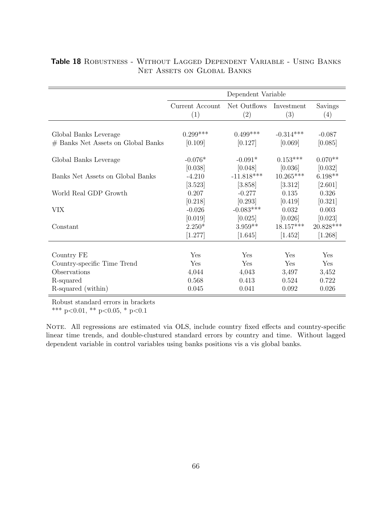|                                    | Dependent Variable     |                     |                   |                |
|------------------------------------|------------------------|---------------------|-------------------|----------------|
|                                    | Current Account<br>(1) | Net Outflows<br>(2) | Investment<br>(3) | Savings<br>(4) |
|                                    |                        |                     |                   |                |
| Global Banks Leverage              | $0.299***$             | $0.499***$          | $-0.314***$       | $-0.087$       |
| # Banks Net Assets on Global Banks | [0.109]                | [0.127]             | [0.069]           | [0.085]        |
|                                    |                        |                     |                   |                |
| Global Banks Leverage              | $-0.076*$              | $-0.091*$           | $0.153***$        | $0.070**$      |
|                                    | [0.038]                | [0.048]             | [0.036]           | [0.032]        |
| Banks Net Assets on Global Banks   | $-4.210$               | $-11.818***$        | $10.265***$       | $6.198**$      |
|                                    | [3.523]                | [3.858]             | [3.312]           | [2.601]        |
| World Real GDP Growth              | 0.207                  | $-0.277$            | 0.135             | 0.326          |
|                                    | [0.218]                | [0.293]             | [0.419]           | [0.321]        |
| <b>VIX</b>                         | $-0.026$               | $-0.083***$         | 0.032             | 0.003          |
|                                    | [0.019]                | [0.025]             | [0.026]           | [0.023]        |
| Constant                           | $2.250*$               | $3.959**$           | $18.157***$       | 20.828***      |
|                                    | [1.277]                | [1.645]             | [1.452]           | [1.268]        |
|                                    |                        |                     |                   |                |
| Country FE                         | Yes                    | Yes                 | Yes               | Yes            |
| Country-specific Time Trend        | Yes                    | Yes                 | Yes               | Yes            |
| Observations                       | 4,044                  | 4,043               | 3,497             | 3,452          |
| R-squared                          | 0.568                  | 0.413               | 0.524             | 0.722          |
| R-squared (within)                 | 0.045                  | 0.041               | 0.092             | 0.026          |

### Table 18 Robustness - Without Lagged Dependent Variable - Using Banks NET ASSETS ON GLOBAL BANKS

Robust standard errors in brackets

\*\*\* p<0.01, \*\* p<0.05, \* p<0.1

NOTE. All regressions are estimated via OLS, include country fixed effects and country-specific linear time trends, and double-clustured standard errors by country and time. Without lagged dependent variable in control variables using banks positions vis a vis global banks.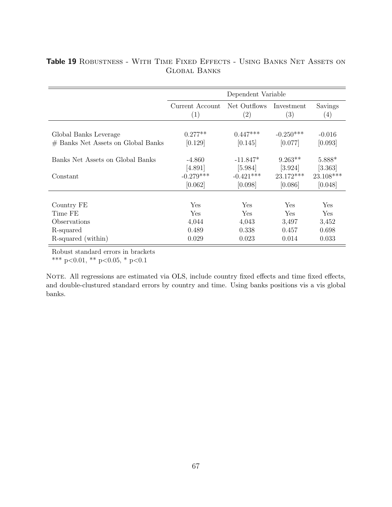|                                              | Dependent Variable                 |                                      |                                     |                                |
|----------------------------------------------|------------------------------------|--------------------------------------|-------------------------------------|--------------------------------|
|                                              | Current Account                    | Net Outflows                         | Investment                          | Savings                        |
|                                              | (1)                                | (2)                                  | (3)                                 | (4)                            |
| Global Banks Leverage                        | $0.277**$                          | $0.447***$                           | $-0.250***$                         | $-0.016$                       |
| # Banks Net Assets on Global Banks           | [0.129]                            | [0.145]                              | [0.077]                             | [0.093]                        |
| Banks Net Assets on Global Banks<br>Constant | $-4.860$<br>[4.891]<br>$-0.279***$ | $-11.847*$<br>[5.984]<br>$-0.421***$ | $9.263**$<br>[3.924]<br>$23.172***$ | 5.888*<br>[3.363]<br>23.108*** |
|                                              | [0.062]                            | [0.098]                              | [0.086]                             | [0.048]                        |
| Country FE                                   | Yes                                | Yes                                  | Yes                                 | Yes                            |
| Time FE                                      | Yes                                | <b>Yes</b>                           | <b>Yes</b>                          | <b>Yes</b>                     |
| Observations                                 | 4,044                              | 4,043                                | 3,497                               | 3,452                          |
| R-squared                                    | 0.489                              | 0.338                                | 0.457                               | 0.698                          |
| R-squared (within)                           | 0.029                              | 0.023                                | 0.014                               | 0.033                          |

### Table 19 ROBUSTNESS - WITH TIME FIXED EFFECTS - USING BANKS NET ASSETS ON Global Banks

Robust standard errors in brackets

\*\*\* p<0.01, \*\* p<0.05, \* p<0.1

NOTE. All regressions are estimated via OLS, include country fixed effects and time fixed effects, and double-clustured standard errors by country and time. Using banks positions vis a vis global banks.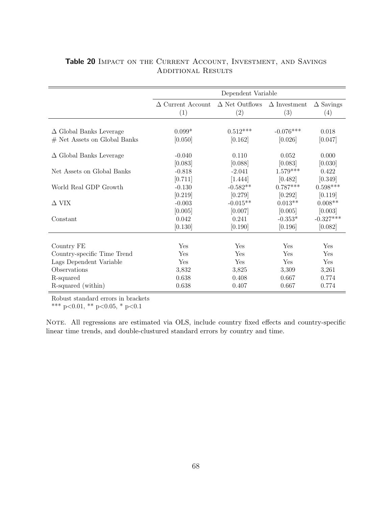|                                | Dependent Variable              |                                                  |             |                         |
|--------------------------------|---------------------------------|--------------------------------------------------|-------------|-------------------------|
|                                | $\Delta$ Current Account<br>(1) | $\Delta$ Net Outflows $\Delta$ Investment<br>(2) | (3)         | $\Delta$ Savings<br>(4) |
|                                |                                 |                                                  |             |                         |
| $\Delta$ Global Banks Leverage | $0.099*$                        | $0.512***$                                       | $-0.076***$ | 0.018                   |
| $#$ Net Assets on Global Banks | [0.050]                         | [0.162]                                          | [0.026]     | [0.047]                 |
| $\Delta$ Global Banks Leverage | $-0.040$                        | 0.110                                            | 0.052       | 0.000                   |
|                                | [0.083]                         | [0.088]                                          | [0.083]     | [0.030]                 |
| Net Assets on Global Banks     | $-0.818$                        | $-2.041$                                         | $1.579***$  | 0.422                   |
|                                | [0.711]                         | [1.444]                                          | [0.482]     | [0.349]                 |
| World Real GDP Growth          | $-0.130$                        | $-0.582**$                                       | $0.787***$  | $0.598***$              |
|                                | [0.219]                         | [0.279]                                          | [0.292]     | [0.119]                 |
| $\Delta$ VIX                   | $-0.003$                        | $-0.015**$                                       | $0.013**$   | $0.008**$               |
|                                | [0.005]                         | [0.007]                                          | [0.005]     | [0.003]                 |
| Constant                       | 0.042                           | 0.241                                            | $-0.353*$   | $-0.327***$             |
|                                | [0.130]                         | [0.190]                                          | [0.196]     | [0.082]                 |
|                                |                                 |                                                  |             |                         |
| Country FE                     | Yes                             | Yes                                              | Yes         | Yes                     |
| Country-specific Time Trend    | Yes                             | Yes                                              | Yes         | Yes                     |
| Lags Dependent Variable        | Yes                             | Yes                                              | Yes         | Yes                     |
| Observations                   | 3,832                           | 3,825                                            | 3,309       | 3,261                   |
| R-squared                      | 0.638                           | 0.408                                            | 0.667       | 0.774                   |
| R-squared (within)             | 0.638                           | 0.407                                            | 0.667       | 0.774                   |

### Table 20 IMPACT ON THE CURRENT ACCOUNT, INVESTMENT, AND SAVINGS ADDITIONAL RESULTS

Robust standard errors in brackets

\*\*\* p<0.01, \*\* p<0.05, \* p<0.1

NOTE. All regressions are estimated via OLS, include country fixed effects and country-specific linear time trends, and double-clustured standard errors by country and time.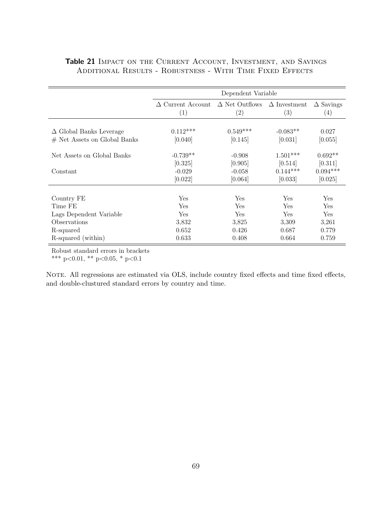|                                | Dependent Variable                                    |                   |                            |                         |
|--------------------------------|-------------------------------------------------------|-------------------|----------------------------|-------------------------|
|                                | $\Delta$ Current Account $\Delta$ Net Outflows<br>(1) | $\left( 2\right)$ | $\Delta$ Investment<br>(3) | $\Delta$ Savings<br>(4) |
|                                |                                                       |                   |                            |                         |
| $\Delta$ Global Banks Leverage | $0.112***$                                            | $0.549***$        | $-0.083**$                 | 0.027                   |
| $#$ Net Assets on Global Banks | [0.040]                                               | [0.145]           | [0.031]                    | [0.055]                 |
|                                |                                                       |                   |                            |                         |
| Net Assets on Global Banks     | $-0.739**$                                            | $-0.908$          | $1.501***$                 | $0.692**$               |
|                                | [0.325]                                               | [0.905]           | [0.514]                    | [0.311]                 |
| Constant                       | $-0.029$                                              | $-0.058$          | $0.144***$                 | $0.094***$              |
|                                | [0.022]                                               | [0.064]           | [0.033]                    | [0.025]                 |
|                                |                                                       |                   |                            |                         |
| Country FE                     | Yes                                                   | Yes               | Yes                        | Yes                     |
| Time FE                        | Yes                                                   | Yes               | Yes                        | Yes                     |
| Lags Dependent Variable        | Yes                                                   | Yes               | <b>Yes</b>                 | Yes                     |
| Observations                   | 3,832                                                 | 3,825             | 3,309                      | 3,261                   |
| R-squared                      | 0.652                                                 | 0.426             | 0.687                      | 0.779                   |
| R-squared (within)             | 0.633                                                 | 0.408             | 0.664                      | 0.759                   |

### <span id="page-69-0"></span>Table 21 IMPACT ON THE CURRENT ACCOUNT, INVESTMENT, AND SAVINGS Additional Results - Robustness - With Time Fixed Effects

Robust standard errors in brackets

\*\*\* p<0.01, \*\* p<0.05, \* p<0.1

NOTE. All regressions are estimated via OLS, include country fixed effects and time fixed effects, and double-clustured standard errors by country and time.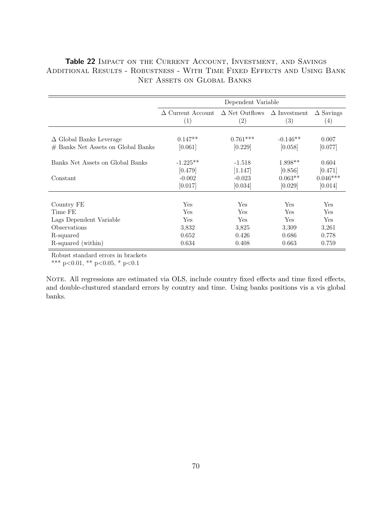### <span id="page-70-0"></span>Table 22 IMPACT ON THE CURRENT ACCOUNT, INVESTMENT, AND SAVINGS Additional Results - Robustness - With Time Fixed Effects and Using Bank NET ASSETS ON GLOBAL BANKS

|                                                                      | Dependent Variable              |                              |                            |                         |
|----------------------------------------------------------------------|---------------------------------|------------------------------|----------------------------|-------------------------|
|                                                                      | $\Delta$ Current Account<br>(1) | $\Delta$ Net Outflows<br>(2) | $\Delta$ Investment<br>(3) | $\Delta$ Savings<br>(4) |
| $\Delta$ Global Banks Leverage<br># Banks Net Assets on Global Banks | $0.147**$<br>[0.061]            | $0.761***$<br>[0.229]        | $-0.146**$<br>[0.058]      | 0.007<br>[0.077]        |
| Banks Net Assets on Global Banks                                     | $-1.225**$<br>[0.479]           | $-1.518$<br>[1.147]          | $1.898**$<br>[0.856]       | 0.604<br>[0.471]        |
| Constant                                                             | $-0.002$<br>[0.017]             | $-0.023$<br>[0.034]          | $0.063**$<br>[0.029]       | $0.046***$<br>[0.014]   |
|                                                                      |                                 |                              |                            |                         |
| Country FE                                                           | Yes                             | Yes                          | Yes                        | Yes                     |
| Time FE                                                              | Yes                             | Yes                          | Yes                        | Yes                     |
| Lags Dependent Variable                                              | Yes                             | Yes                          | Yes                        | Yes                     |
| Observations                                                         | 3,832                           | 3.825                        | 3,309                      | 3,261                   |
| R-squared                                                            | 0.652                           | 0.426                        | 0.686                      | 0.778                   |
| R-squared (within)                                                   | 0.634                           | 0.408                        | 0.663                      | 0.759                   |

Robust standard errors in brackets

\*\*\* p<0.01, \*\* p<0.05, \* p<0.1

NOTE. All regressions are estimated via OLS, include country fixed effects and time fixed effects, and double-clustured standard errors by country and time. Using banks positions vis a vis global banks.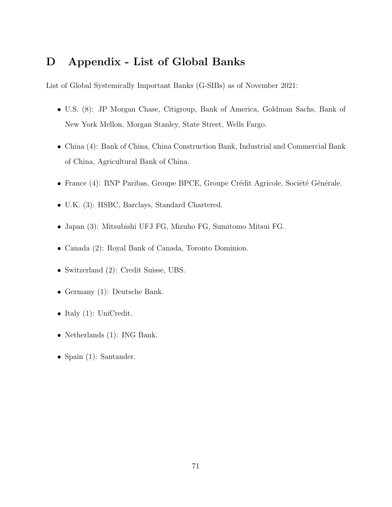### D Appendix - List of Global Banks

List of Global Systemically Important Banks (G-SIBs) as of November 2021:

- U.S. (8): JP Morgan Chase, Citigroup, Bank of America, Goldman Sachs, Bank of New York Mellon, Morgan Stanley, State Street, Wells Fargo.
- China (4): Bank of China, China Construction Bank, Industrial and Commercial Bank of China, Agricultural Bank of China.
- France (4): BNP Paribas, Groupe BPCE, Groupe Crédit Agricole, Société Générale.
- U.K. (3): HSBC, Barclays, Standard Chartered.
- Japan (3): Mitsubishi UFJ FG, Mizuho FG, Sumitomo Mitsui FG.
- Canada (2): Royal Bank of Canada, Toronto Dominion.
- Switzerland (2): Credit Suisse, UBS.
- Germany (1): Deutsche Bank.
- Italy (1): UniCredit.
- Netherlands (1): ING Bank.
- Spain (1): Santander.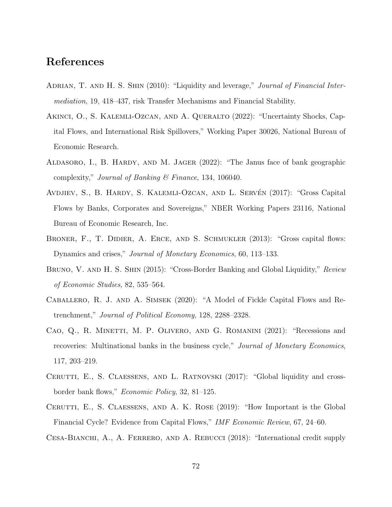## References

- ADRIAN, T. AND H. S. SHIN (2010): "Liquidity and leverage," *Journal of Financial Inter*mediation, 19, 418–437, risk Transfer Mechanisms and Financial Stability.
- Akinci, O., S. Kalemli-Ozcan, and A. Queralto (2022): "Uncertainty Shocks, Capital Flows, and International Risk Spillovers," Working Paper 30026, National Bureau of Economic Research.
- Aldasoro, I., B. Hardy, and M. Jager (2022): "The Janus face of bank geographic complexity," Journal of Banking  $\mathcal C$  Finance, 134, 106040.
- AVDJIEV, S., B. HARDY, S. KALEMLI-OZCAN, AND L. SERVÉN (2017): "Gross Capital Flows by Banks, Corporates and Sovereigns," NBER Working Papers 23116, National Bureau of Economic Research, Inc.
- BRONER, F., T. DIDIER, A. ERCE, AND S. SCHMUKLER (2013): "Gross capital flows: Dynamics and crises," Journal of Monetary Economics, 60, 113–133.
- BRUNO, V. AND H. S. SHIN (2015): "Cross-Border Banking and Global Liquidity," Review of Economic Studies, 82, 535–564.
- Caballero, R. J. and A. Simsek (2020): "A Model of Fickle Capital Flows and Retrenchment," Journal of Political Economy, 128, 2288–2328.
- Cao, Q., R. Minetti, M. P. Olivero, and G. Romanini (2021): "Recessions and recoveries: Multinational banks in the business cycle," Journal of Monetary Economics, 117, 203–219.
- CERUTTI, E., S. CLAESSENS, AND L. RATNOVSKI (2017): "Global liquidity and crossborder bank flows," Economic Policy, 32, 81–125.
- Cerutti, E., S. Claessens, and A. K. Rose (2019): "How Important is the Global Financial Cycle? Evidence from Capital Flows," IMF Economic Review, 67, 24–60.
- Cesa-Bianchi, A., A. Ferrero, and A. Rebucci (2018): "International credit supply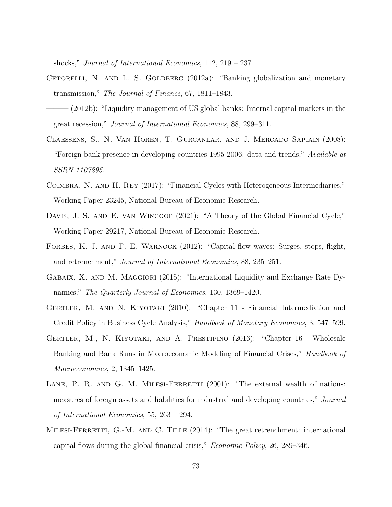shocks," Journal of International Economics, 112, 219 – 237.

- CETORELLI, N. AND L. S. GOLDBERG  $(2012a)$ : "Banking globalization and monetary transmission," The Journal of Finance, 67, 1811–1843.
- (2012b): "Liquidity management of US global banks: Internal capital markets in the great recession," Journal of International Economics, 88, 299–311.
- Claessens, S., N. Van Horen, T. Gurcanlar, and J. Mercado Sapiain (2008): "Foreign bank presence in developing countries 1995-2006: data and trends," Available at SSRN 1107295.
- Coimbra, N. and H. Rey (2017): "Financial Cycles with Heterogeneous Intermediaries," Working Paper 23245, National Bureau of Economic Research.
- DAVIS, J. S. AND E. VAN WINCOOP (2021): "A Theory of the Global Financial Cycle," Working Paper 29217, National Bureau of Economic Research.
- FORBES, K. J. AND F. E. WARNOCK (2012): "Capital flow waves: Surges, stops, flight, and retrenchment," Journal of International Economics, 88, 235–251.
- GABAIX, X. AND M. MAGGIORI (2015): "International Liquidity and Exchange Rate Dynamics," The Quarterly Journal of Economics, 130, 1369–1420.
- Gertler, M. and N. Kiyotaki (2010): "Chapter 11 Financial Intermediation and Credit Policy in Business Cycle Analysis," Handbook of Monetary Economics, 3, 547–599.
- Gertler, M., N. Kiyotaki, and A. Prestipino (2016): "Chapter 16 Wholesale Banking and Bank Runs in Macroeconomic Modeling of Financial Crises," *Handbook of* Macroeconomics, 2, 1345–1425.
- LANE, P. R. AND G. M. MILESI-FERRETTI  $(2001)$ : "The external wealth of nations: measures of foreign assets and liabilities for industrial and developing countries," Journal of International Economics, 55, 263 – 294.
- MILESI-FERRETTI, G.-M. AND C. TILLE (2014): "The great retrenchment: international capital flows during the global financial crisis," Economic Policy, 26, 289–346.